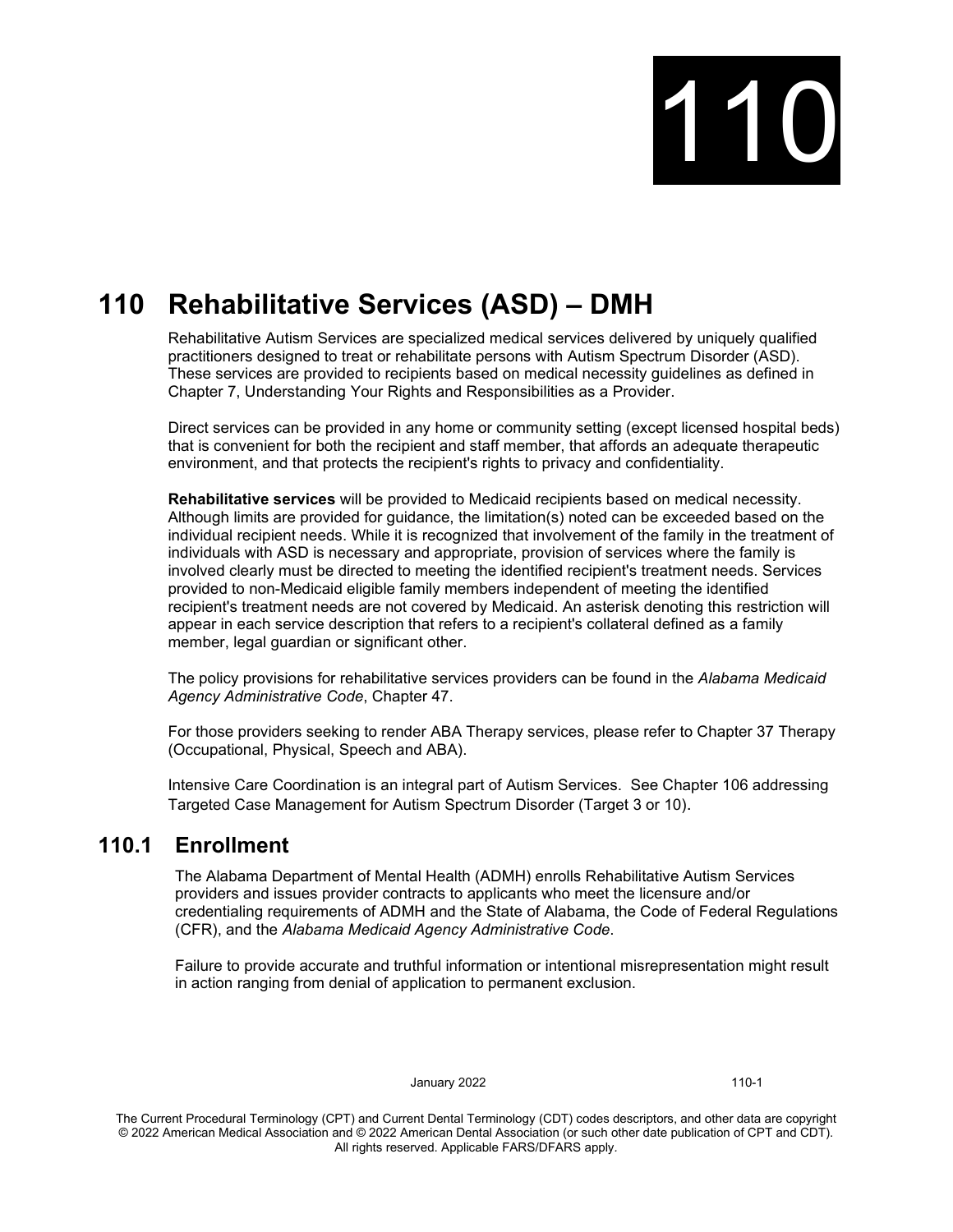

# **110 Rehabilitative Services (ASD) – DMH**

Rehabilitative Autism Services are specialized medical services delivered by uniquely qualified practitioners designed to treat or rehabilitate persons with Autism Spectrum Disorder (ASD). These services are provided to recipients based on medical necessity guidelines as defined in Chapter 7, Understanding Your Rights and Responsibilities as a Provider.

Direct services can be provided in any home or community setting (except licensed hospital beds) that is convenient for both the recipient and staff member, that affords an adequate therapeutic environment, and that protects the recipient's rights to privacy and confidentiality.

**Rehabilitative services** will be provided to Medicaid recipients based on medical necessity. Although limits are provided for guidance, the limitation(s) noted can be exceeded based on the individual recipient needs. While it is recognized that involvement of the family in the treatment of individuals with ASD is necessary and appropriate, provision of services where the family is involved clearly must be directed to meeting the identified recipient's treatment needs. Services provided to non-Medicaid eligible family members independent of meeting the identified recipient's treatment needs are not covered by Medicaid. An asterisk denoting this restriction will appear in each service description that refers to a recipient's collateral defined as a family member, legal guardian or significant other.

The policy provisions for rehabilitative services providers can be found in the *Alabama Medicaid Agency Administrative Code*, Chapter 47.

For those providers seeking to render ABA Therapy services, please refer to Chapter 37 Therapy (Occupational, Physical, Speech and ABA).

Intensive Care Coordination is an integral part of Autism Services. See Chapter 106 addressing Targeted Case Management for Autism Spectrum Disorder (Target 3 or 10).

## **110.1 Enrollment**

The Alabama Department of Mental Health (ADMH) enrolls Rehabilitative Autism Services providers and issues provider contracts to applicants who meet the licensure and/or credentialing requirements of ADMH and the State of Alabama, the Code of Federal Regulations (CFR), and the *Alabama Medicaid Agency Administrative Code*.

Failure to provide accurate and truthful information or intentional misrepresentation might result in action ranging from denial of application to permanent exclusion.

January 2022 110-1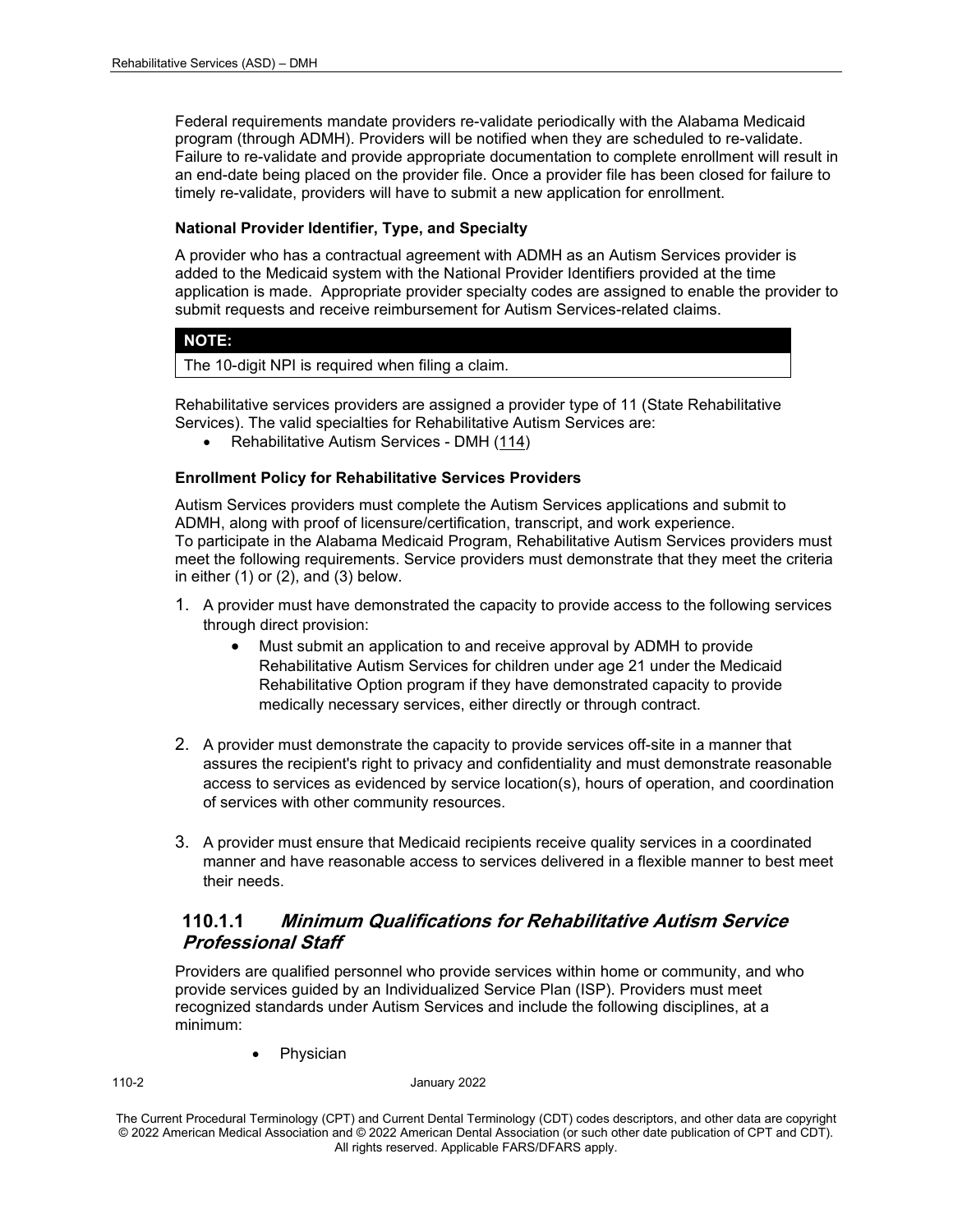Federal requirements mandate providers re-validate periodically with the Alabama Medicaid program (through ADMH). Providers will be notified when they are scheduled to re-validate. Failure to re-validate and provide appropriate documentation to complete enrollment will result in an end-date being placed on the provider file. Once a provider file has been closed for failure to timely re-validate, providers will have to submit a new application for enrollment.

#### **National Provider Identifier, Type, and Specialty**

A provider who has a contractual agreement with ADMH as an Autism Services provider is added to the Medicaid system with the National Provider Identifiers provided at the time application is made. Appropriate provider specialty codes are assigned to enable the provider to submit requests and receive reimbursement for Autism Services-related claims.

#### **NOTE:**

The 10-digit NPI is required when filing a claim.

Rehabilitative services providers are assigned a provider type of 11 (State Rehabilitative Services). The valid specialties for Rehabilitative Autism Services are:

• Rehabilitative Autism Services - DMH (114)

#### **Enrollment Policy for Rehabilitative Services Providers**

Autism Services providers must complete the Autism Services applications and submit to ADMH, along with proof of licensure/certification, transcript, and work experience. To participate in the Alabama Medicaid Program, Rehabilitative Autism Services providers must meet the following requirements. Service providers must demonstrate that they meet the criteria in either  $(1)$  or  $(2)$ , and  $(3)$  below.

- 1. A provider must have demonstrated the capacity to provide access to the following services through direct provision:
	- Must submit an application to and receive approval by ADMH to provide Rehabilitative Autism Services for children under age 21 under the Medicaid Rehabilitative Option program if they have demonstrated capacity to provide medically necessary services, either directly or through contract.
- 2. A provider must demonstrate the capacity to provide services off-site in a manner that assures the recipient's right to privacy and confidentiality and must demonstrate reasonable access to services as evidenced by service location(s), hours of operation, and coordination of services with other community resources.
- 3. A provider must ensure that Medicaid recipients receive quality services in a coordinated manner and have reasonable access to services delivered in a flexible manner to best meet their needs.

## **110.1.1 Minimum Qualifications for Rehabilitative Autism Service Professional Staff**

Providers are qualified personnel who provide services within home or community, and who provide services guided by an Individualized Service Plan (ISP). Providers must meet recognized standards under Autism Services and include the following disciplines, at a minimum:

**Physician** 

110-2 January 2022

The Current Procedural Terminology (CPT) and Current Dental Terminology (CDT) codes descriptors, and other data are copyright © 2022 American Medical Association and © 2022 American Dental Association (or such other date publication of CPT and CDT). All rights reserved. Applicable FARS/DFARS apply*.*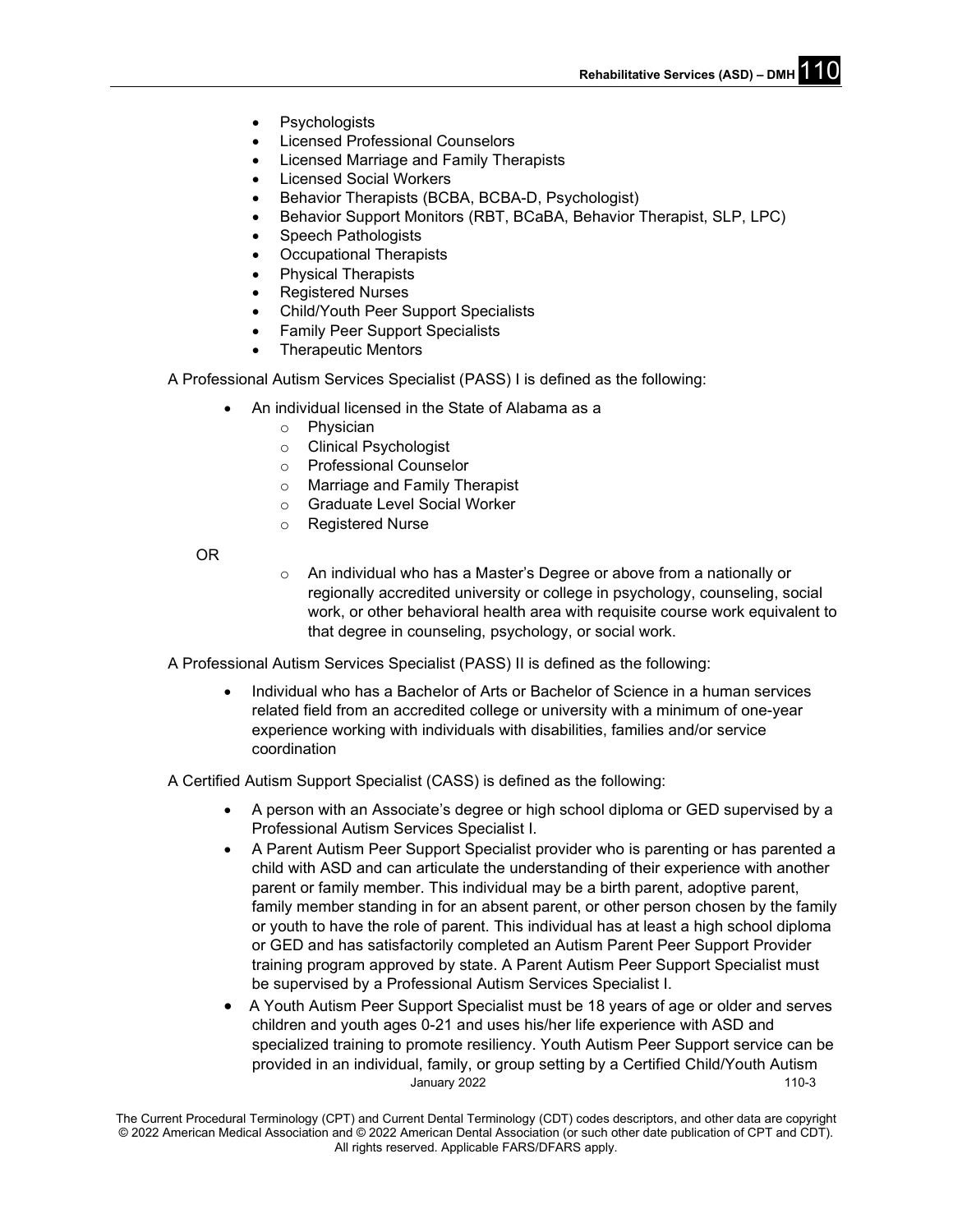- **Psychologists**
- Licensed Professional Counselors
- Licensed Marriage and Family Therapists
- **Licensed Social Workers**
- Behavior Therapists (BCBA, BCBA-D, Psychologist)
- Behavior Support Monitors (RBT, BCaBA, Behavior Therapist, SLP, LPC)
- Speech Pathologists
- Occupational Therapists
- Physical Therapists
- Registered Nurses
- Child/Youth Peer Support Specialists
- Family Peer Support Specialists
- Therapeutic Mentors

A Professional Autism Services Specialist (PASS) I is defined as the following:

- An individual licensed in the State of Alabama as a
	- o Physician
	- o Clinical Psychologist
	- o Professional Counselor
	- o Marriage and Family Therapist
	- o Graduate Level Social Worker
	- o Registered Nurse

OR

o An individual who has a Master's Degree or above from a nationally or regionally accredited university or college in psychology, counseling, social work, or other behavioral health area with requisite course work equivalent to that degree in counseling, psychology, or social work.

A Professional Autism Services Specialist (PASS) II is defined as the following:

• Individual who has a Bachelor of Arts or Bachelor of Science in a human services related field from an accredited college or university with a minimum of one-year experience working with individuals with disabilities, families and/or service coordination

A Certified Autism Support Specialist (CASS) is defined as the following:

- A person with an Associate's degree or high school diploma or GED supervised by a Professional Autism Services Specialist I.
- A Parent Autism Peer Support Specialist provider who is parenting or has parented a child with ASD and can articulate the understanding of their experience with another parent or family member. This individual may be a birth parent, adoptive parent, family member standing in for an absent parent, or other person chosen by the family or youth to have the role of parent. This individual has at least a high school diploma or GED and has satisfactorily completed an Autism Parent Peer Support Provider training program approved by state. A Parent Autism Peer Support Specialist must be supervised by a Professional Autism Services Specialist I.
- January 2022 **110-3** • A Youth Autism Peer Support Specialist must be 18 years of age or older and serves children and youth ages 0-21 and uses his/her life experience with ASD and specialized training to promote resiliency. Youth Autism Peer Support service can be provided in an individual, family, or group setting by a Certified Child/Youth Autism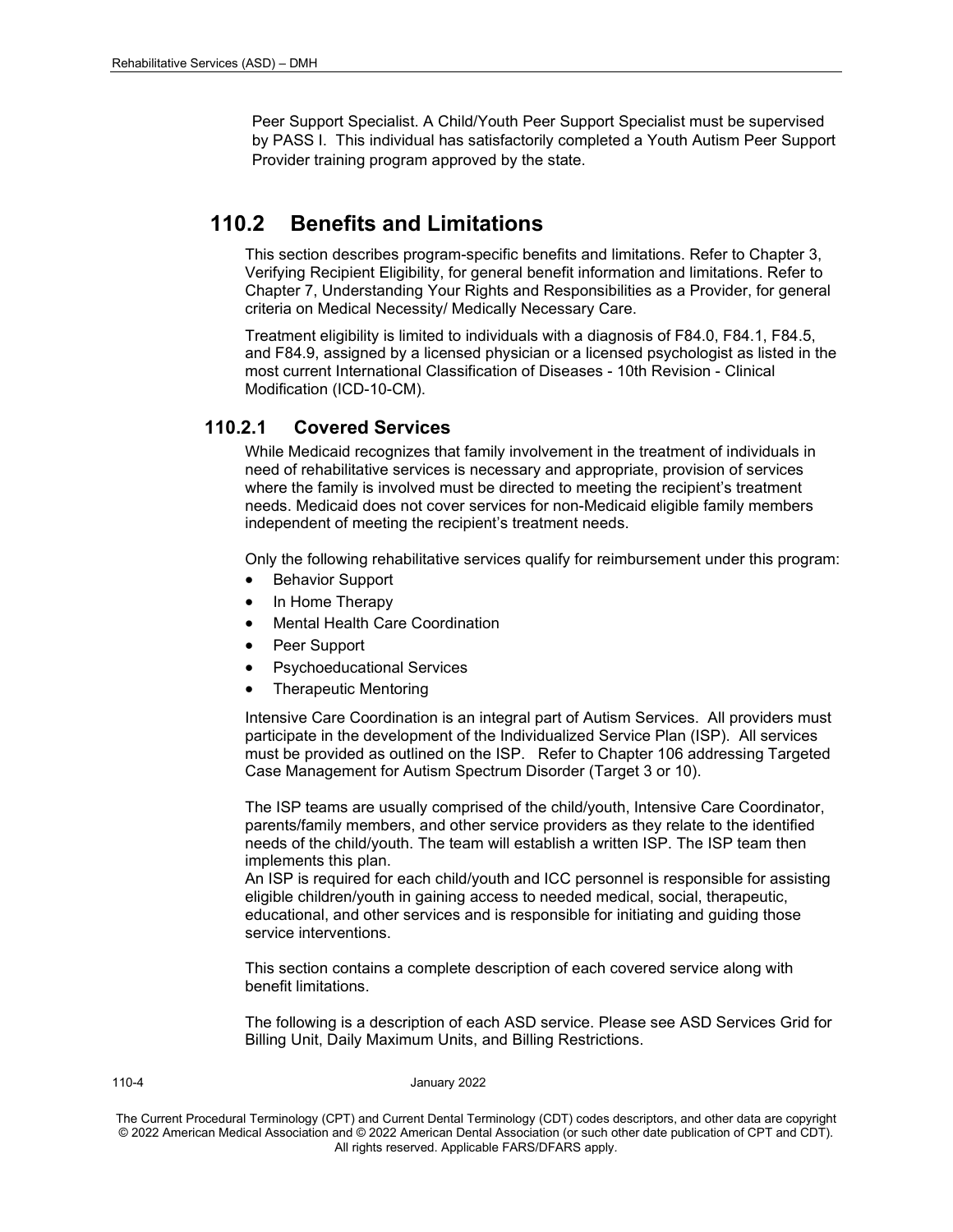Peer Support Specialist. A Child/Youth Peer Support Specialist must be supervised by PASS I. This individual has satisfactorily completed a Youth Autism Peer Support Provider training program approved by the state.

## **110.2 Benefits and Limitations**

This section describes program-specific benefits and limitations. Refer to Chapter 3, Verifying Recipient Eligibility, for general benefit information and limitations. Refer to Chapter 7, Understanding Your Rights and Responsibilities as a Provider, for general criteria on Medical Necessity/ Medically Necessary Care.

Treatment eligibility is limited to individuals with a diagnosis of F84.0, F84.1, F84.5, and F84.9, assigned by a licensed physician or a licensed psychologist as listed in the most current International Classification of Diseases - 10th Revision - Clinical Modification (ICD-10-CM).

## **110.2.1 Covered Services**

While Medicaid recognizes that family involvement in the treatment of individuals in need of rehabilitative services is necessary and appropriate, provision of services where the family is involved must be directed to meeting the recipient's treatment needs. Medicaid does not cover services for non-Medicaid eligible family members independent of meeting the recipient's treatment needs.

Only the following rehabilitative services qualify for reimbursement under this program:

- Behavior Support
- In Home Therapy
- Mental Health Care Coordination
- Peer Support
- Psychoeducational Services
- Therapeutic Mentoring

Intensive Care Coordination is an integral part of Autism Services. All providers must participate in the development of the Individualized Service Plan (ISP). All services must be provided as outlined on the ISP. Refer to Chapter 106 addressing Targeted Case Management for Autism Spectrum Disorder (Target 3 or 10).

The ISP teams are usually comprised of the child/youth, Intensive Care Coordinator, parents/family members, and other service providers as they relate to the identified needs of the child/youth. The team will establish a written ISP. The ISP team then implements this plan.

An ISP is required for each child/youth and ICC personnel is responsible for assisting eligible children/youth in gaining access to needed medical, social, therapeutic, educational, and other services and is responsible for initiating and guiding those service interventions.

This section contains a complete description of each covered service along with benefit limitations.

The following is a description of each ASD service. Please see ASD Services Grid for Billing Unit, Daily Maximum Units, and Billing Restrictions.

#### 110-4 January 2022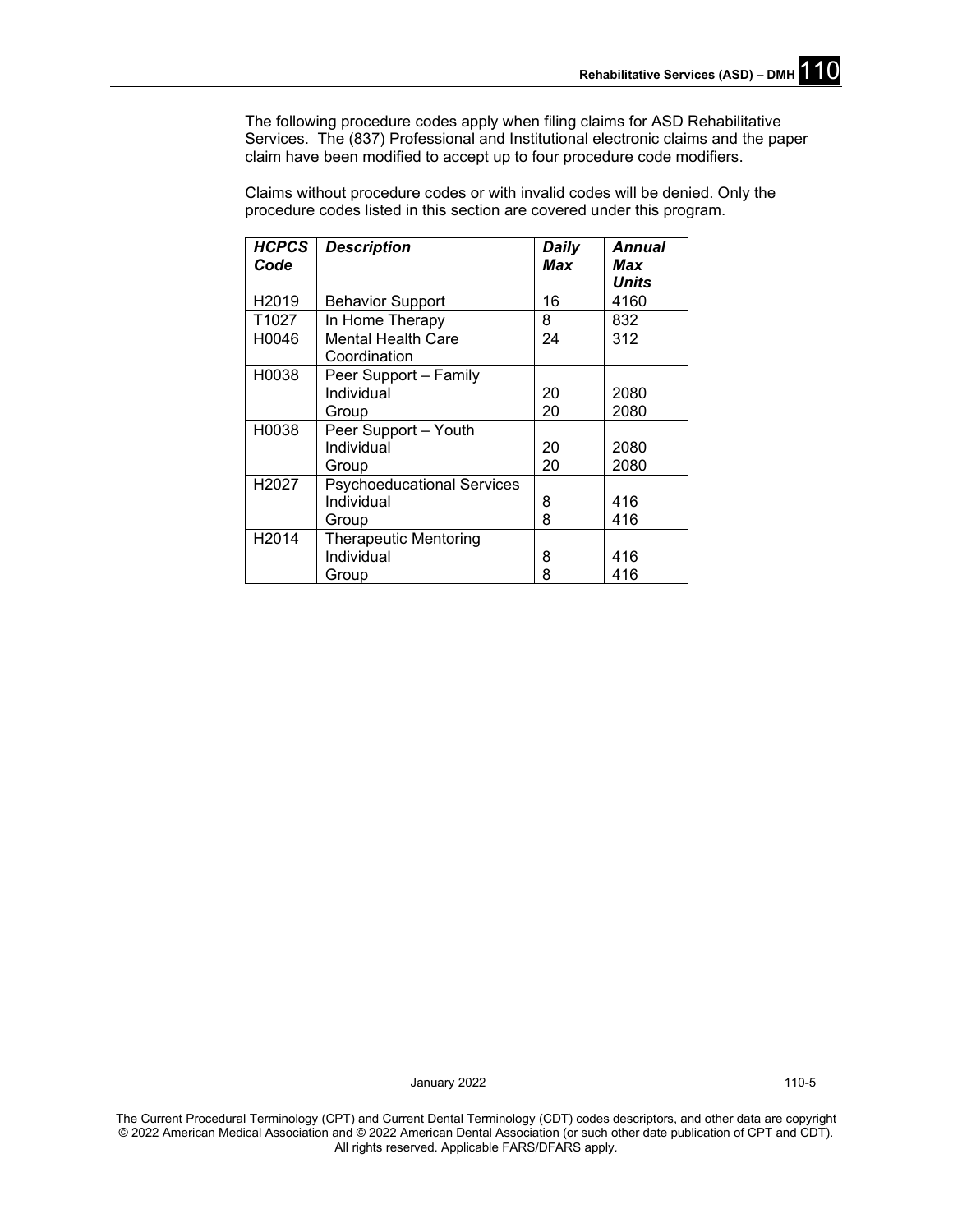The following procedure codes apply when filing claims for ASD Rehabilitative Services. The (837) Professional and Institutional electronic claims and the paper claim have been modified to accept up to four procedure code modifiers.

*HCPCS Code Description Daily Max Annual Max Units* H2019 Behavior Support 16 416<br>T1027 In Home Therapy 8 832 T1027 In Home Therapy 8<br>H0046 Mental Health Care 24 Mental Health Care **Coordination** 312 H0038 Peer Support – Family **Individual** Group 20 20 2080 2080 H0038 | Peer Support – Youth Individual **Group** 20 20 2080 2080 H2027 | Psychoeducational Services Individual Group 8 8 416 416 H2014 Therapeutic Mentoring Individual Group 8 8 416 416

Claims without procedure codes or with invalid codes will be denied. Only the procedure codes listed in this section are covered under this program.

January 2022 110-5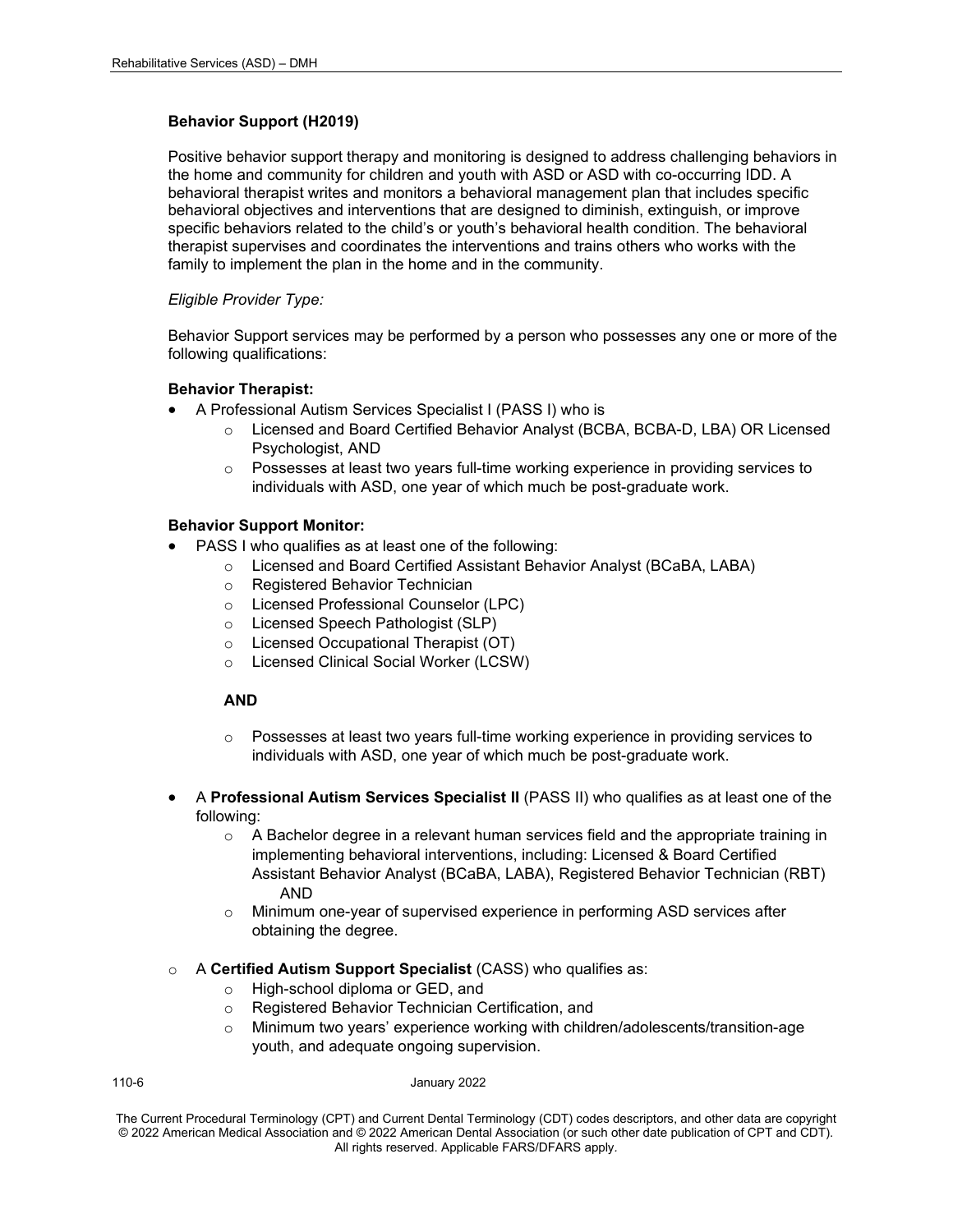#### **Behavior Support (H2019)**

Positive behavior support therapy and monitoring is designed to address challenging behaviors in the home and community for children and youth with ASD or ASD with co-occurring IDD. A behavioral therapist writes and monitors a behavioral management plan that includes specific behavioral objectives and interventions that are designed to diminish, extinguish, or improve specific behaviors related to the child's or youth's behavioral health condition. The behavioral therapist supervises and coordinates the interventions and trains others who works with the family to implement the plan in the home and in the community.

#### *Eligible Provider Type:*

Behavior Support services may be performed by a person who possesses any one or more of the following qualifications:

#### **Behavior Therapist:**

- A Professional Autism Services Specialist I (PASS I) who is
	- o Licensed and Board Certified Behavior Analyst (BCBA, BCBA-D, LBA) OR Licensed Psychologist, AND
	- $\circ$  Possesses at least two years full-time working experience in providing services to individuals with ASD, one year of which much be post-graduate work.

#### **Behavior Support Monitor:**

- PASS I who qualifies as at least one of the following:
	- o Licensed and Board Certified Assistant Behavior Analyst (BCaBA, LABA)
	- o Registered Behavior Technician
	- o Licensed Professional Counselor (LPC)
	- o Licensed Speech Pathologist (SLP)
	- o Licensed Occupational Therapist (OT)
	- o Licensed Clinical Social Worker (LCSW)

#### **AND**

- o Possesses at least two years full-time working experience in providing services to individuals with ASD, one year of which much be post-graduate work.
- A **Professional Autism Services Specialist II** (PASS II) who qualifies as at least one of the following:
	- $\circ$  A Bachelor degree in a relevant human services field and the appropriate training in implementing behavioral interventions, including: Licensed & Board Certified Assistant Behavior Analyst (BCaBA, LABA), Registered Behavior Technician (RBT) AND
	- o Minimum one-year of supervised experience in performing ASD services after obtaining the degree.
- o A **Certified Autism Support Specialist** (CASS) who qualifies as:
	- o High-school diploma or GED, and
	- o Registered Behavior Technician Certification, and
	- o Minimum two years' experience working with children/adolescents/transition-age youth, and adequate ongoing supervision.

110-6 January 2022

The Current Procedural Terminology (CPT) and Current Dental Terminology (CDT) codes descriptors, and other data are copyright © 2022 American Medical Association and © 2022 American Dental Association (or such other date publication of CPT and CDT). All rights reserved. Applicable FARS/DFARS apply*.*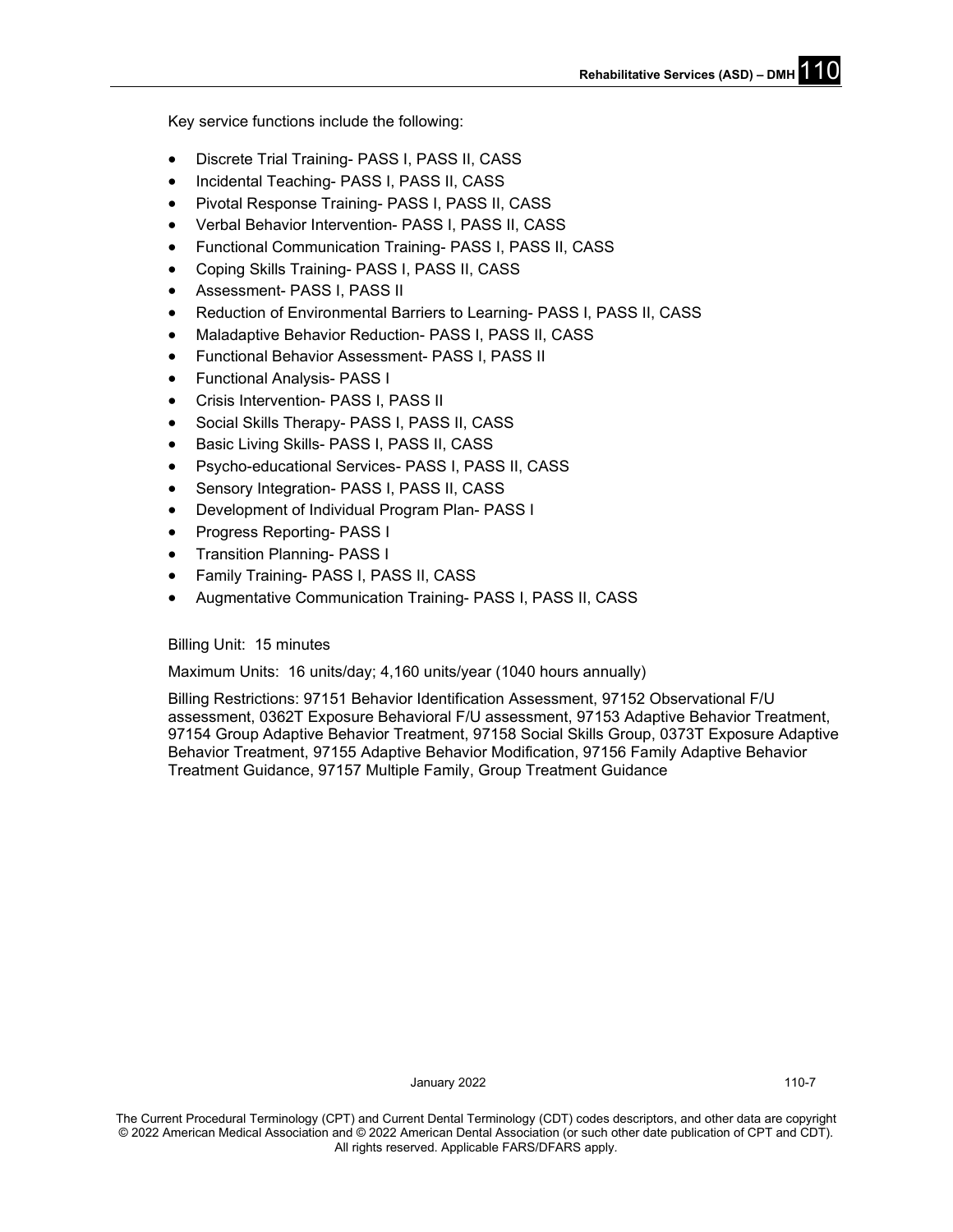**Rehabilitative Services (ASD) - DMH** 

Key service functions include the following:

- Discrete Trial Training- PASS I, PASS II, CASS
- Incidental Teaching- PASS I, PASS II, CASS
- Pivotal Response Training- PASS I, PASS II, CASS
- Verbal Behavior Intervention- PASS I, PASS II, CASS
- Functional Communication Training- PASS I, PASS II, CASS
- Coping Skills Training- PASS I, PASS II, CASS
- Assessment- PASS I, PASS II
- Reduction of Environmental Barriers to Learning- PASS I, PASS II, CASS
- Maladaptive Behavior Reduction- PASS I, PASS II, CASS
- Functional Behavior Assessment- PASS I, PASS II
- Functional Analysis- PASS I
- Crisis Intervention- PASS I, PASS II
- Social Skills Therapy- PASS I, PASS II, CASS
- Basic Living Skills- PASS I, PASS II, CASS
- Psycho-educational Services- PASS I, PASS II, CASS
- Sensory Integration- PASS I, PASS II, CASS
- Development of Individual Program Plan- PASS I
- Progress Reporting- PASS I
- Transition Planning- PASS I
- Family Training- PASS I, PASS II, CASS
- Augmentative Communication Training- PASS I, PASS II, CASS

Billing Unit: 15 minutes

Maximum Units: 16 units/day; 4,160 units/year (1040 hours annually)

Billing Restrictions: 97151 Behavior Identification Assessment, 97152 Observational F/U assessment, 0362T Exposure Behavioral F/U assessment, 97153 Adaptive Behavior Treatment, 97154 Group Adaptive Behavior Treatment, 97158 Social Skills Group, 0373T Exposure Adaptive Behavior Treatment, 97155 Adaptive Behavior Modification, 97156 Family Adaptive Behavior Treatment Guidance, 97157 Multiple Family, Group Treatment Guidance

January 2022 110-7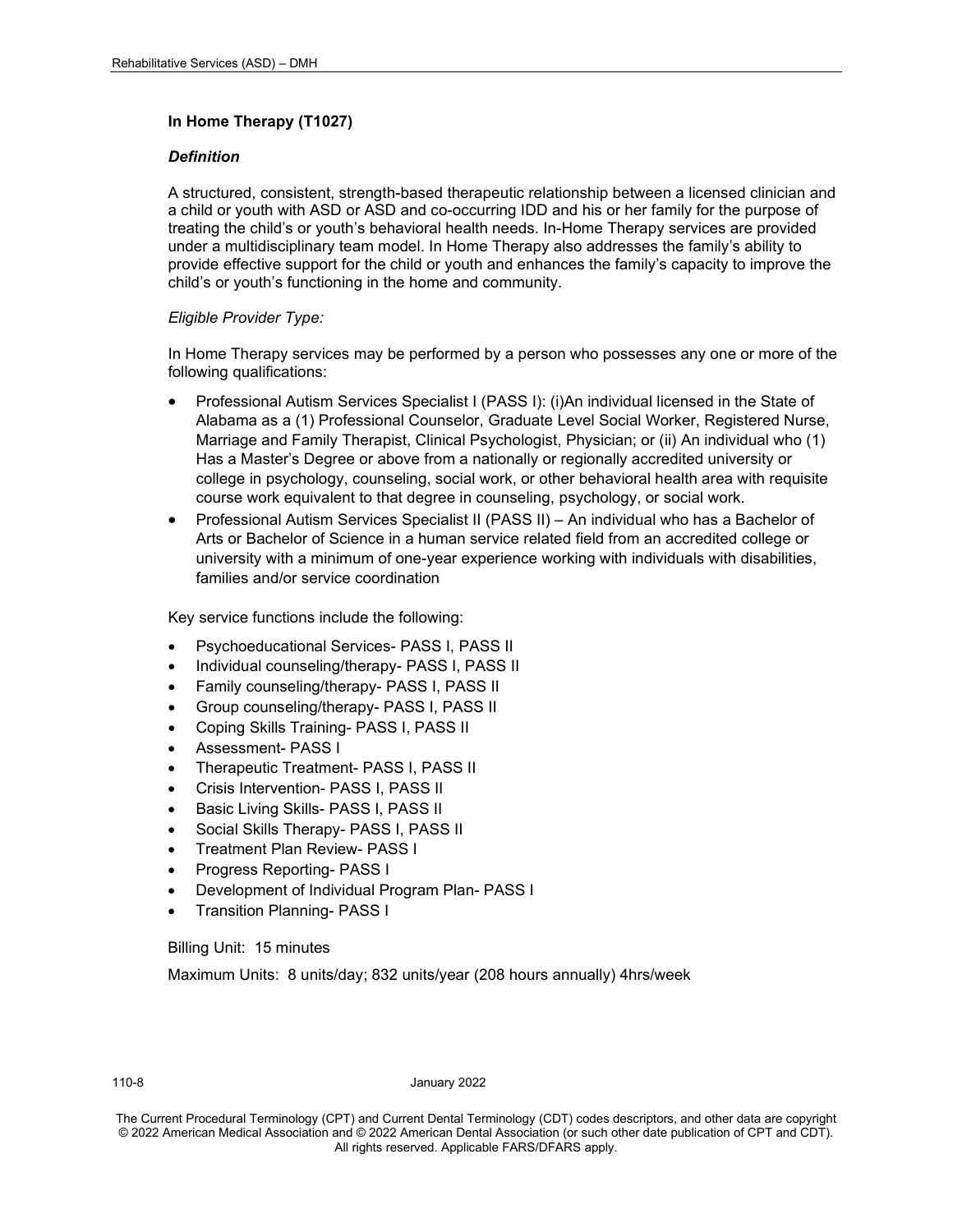#### **In Home Therapy (T1027)**

#### *Definition*

A structured, consistent, strength-based therapeutic relationship between a licensed clinician and a child or youth with ASD or ASD and co-occurring IDD and his or her family for the purpose of treating the child's or youth's behavioral health needs. In-Home Therapy services are provided under a multidisciplinary team model. In Home Therapy also addresses the family's ability to provide effective support for the child or youth and enhances the family's capacity to improve the child's or youth's functioning in the home and community.

#### *Eligible Provider Type:*

In Home Therapy services may be performed by a person who possesses any one or more of the following qualifications:

- Professional Autism Services Specialist I (PASS I): (i)An individual licensed in the State of Alabama as a (1) Professional Counselor, Graduate Level Social Worker, Registered Nurse, Marriage and Family Therapist, Clinical Psychologist, Physician; or (ii) An individual who (1) Has a Master's Degree or above from a nationally or regionally accredited university or college in psychology, counseling, social work, or other behavioral health area with requisite course work equivalent to that degree in counseling, psychology, or social work.
- Professional Autism Services Specialist II (PASS II) An individual who has a Bachelor of Arts or Bachelor of Science in a human service related field from an accredited college or university with a minimum of one-year experience working with individuals with disabilities, families and/or service coordination

Key service functions include the following:

- Psychoeducational Services- PASS I, PASS II
- Individual counseling/therapy- PASS I, PASS II
- Family counseling/therapy- PASS I, PASS II
- Group counseling/therapy- PASS I, PASS II
- Coping Skills Training- PASS I, PASS II
- Assessment- PASS I
- Therapeutic Treatment- PASS I, PASS II
- Crisis Intervention- PASS I, PASS II
- Basic Living Skills- PASS I, PASS II
- Social Skills Therapy- PASS I, PASS II
- Treatment Plan Review- PASS I
- Progress Reporting- PASS I
- Development of Individual Program Plan- PASS I
- Transition Planning- PASS I

Billing Unit: 15 minutes

Maximum Units: 8 units/day; 832 units/year (208 hours annually) 4hrs/week

110-8 January 2022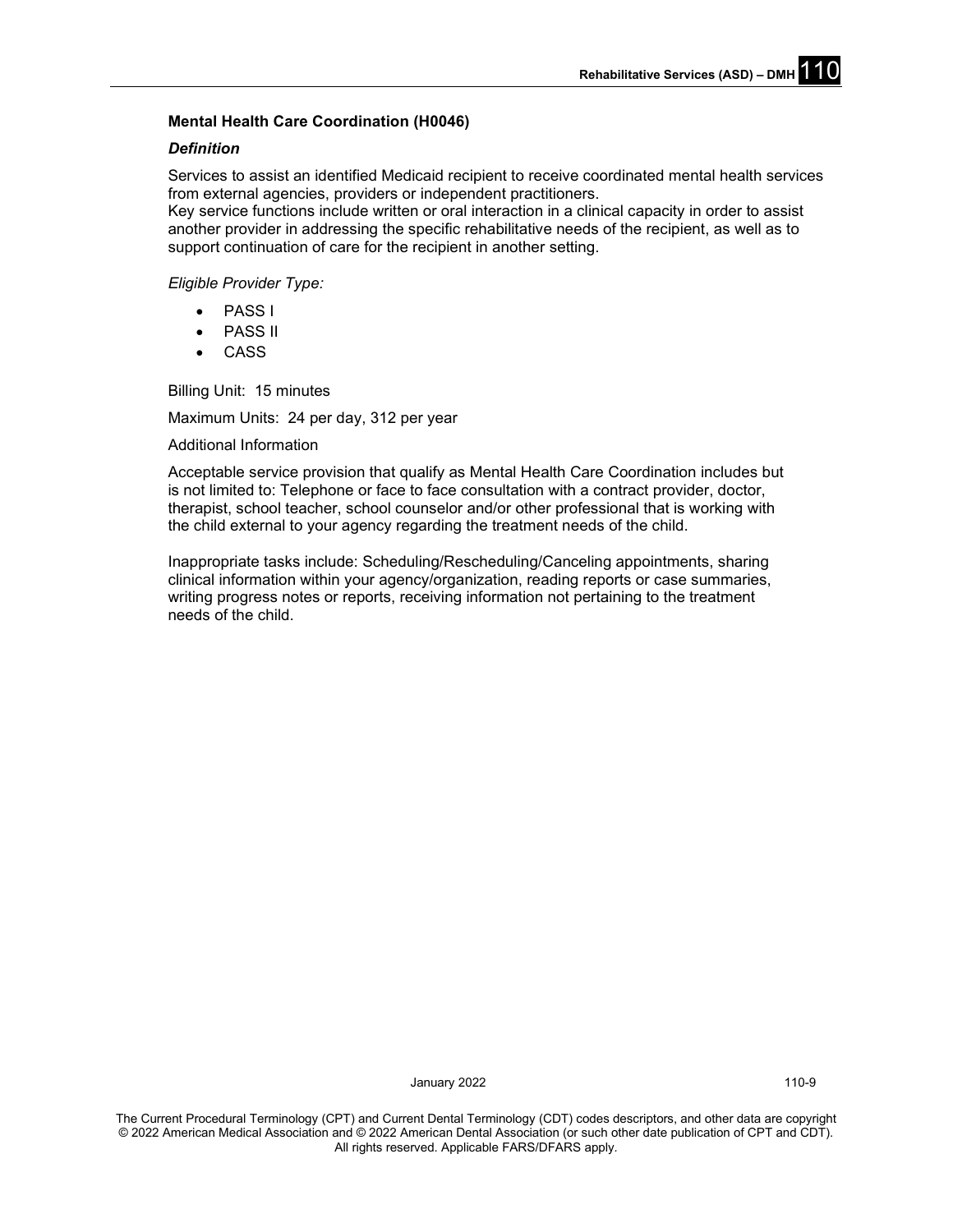#### **Mental Health Care Coordination (H0046)**

#### *Definition*

Services to assist an identified Medicaid recipient to receive coordinated mental health services from external agencies, providers or independent practitioners.

Key service functions include written or oral interaction in a clinical capacity in order to assist another provider in addressing the specific rehabilitative needs of the recipient, as well as to support continuation of care for the recipient in another setting.

*Eligible Provider Type:* 

- PASS I
- **PASS II**
- CASS

Billing Unit: 15 minutes

Maximum Units: 24 per day, 312 per year

Additional Information

Acceptable service provision that qualify as Mental Health Care Coordination includes but is not limited to: Telephone or face to face consultation with a contract provider, doctor, therapist, school teacher, school counselor and/or other professional that is working with the child external to your agency regarding the treatment needs of the child.

Inappropriate tasks include: Scheduling/Rescheduling/Canceling appointments, sharing clinical information within your agency/organization, reading reports or case summaries, writing progress notes or reports, receiving information not pertaining to the treatment needs of the child.

January 2022 110-9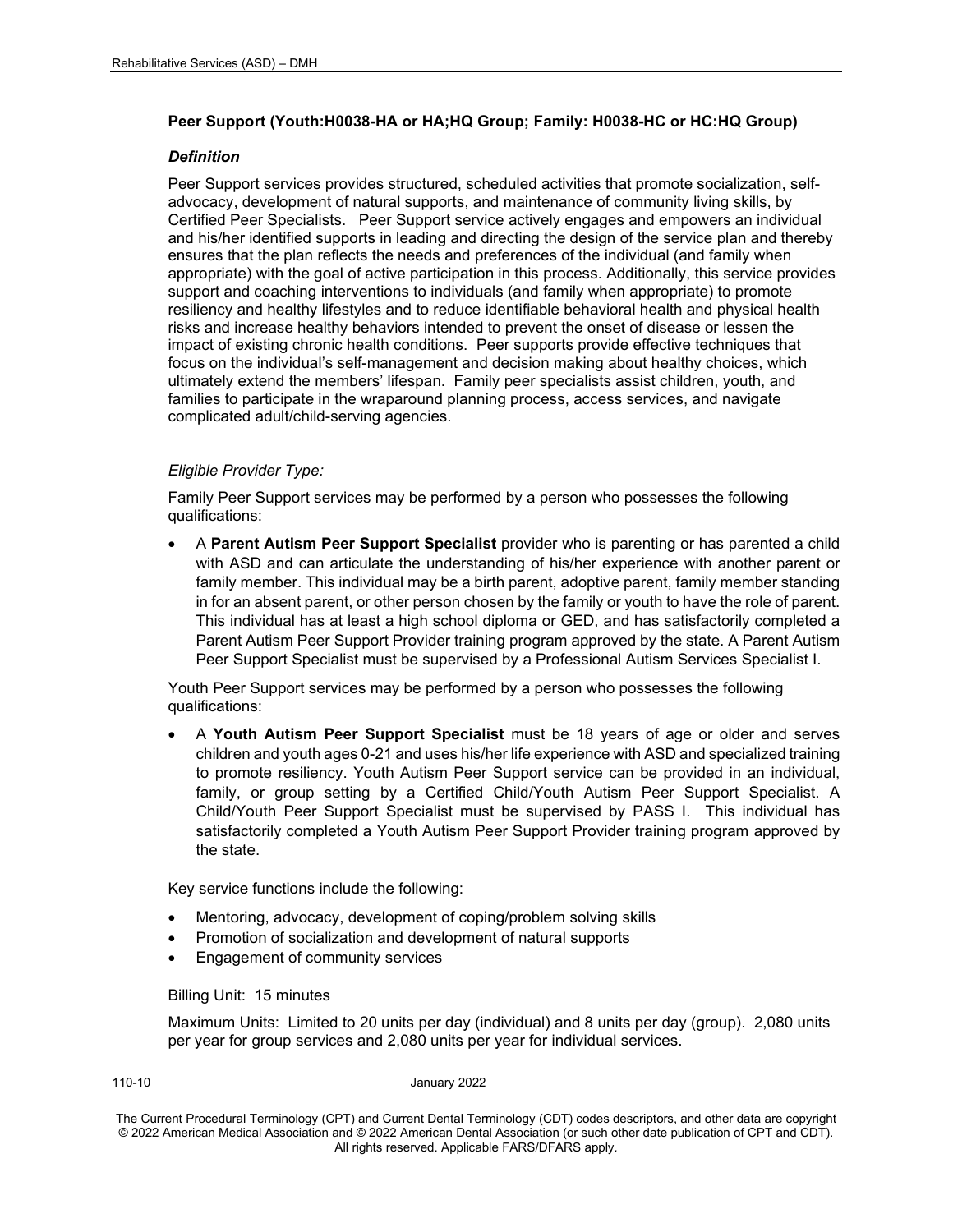#### **Peer Support (Youth:H0038-HA or HA;HQ Group; Family: H0038-HC or HC:HQ Group)**

#### *Definition*

Peer Support services provides structured, scheduled activities that promote socialization, selfadvocacy, development of natural supports, and maintenance of community living skills, by Certified Peer Specialists. Peer Support service actively engages and empowers an individual and his/her identified supports in leading and directing the design of the service plan and thereby ensures that the plan reflects the needs and preferences of the individual (and family when appropriate) with the goal of active participation in this process. Additionally, this service provides support and coaching interventions to individuals (and family when appropriate) to promote resiliency and healthy lifestyles and to reduce identifiable behavioral health and physical health risks and increase healthy behaviors intended to prevent the onset of disease or lessen the impact of existing chronic health conditions. Peer supports provide effective techniques that focus on the individual's self-management and decision making about healthy choices, which ultimately extend the members' lifespan. Family peer specialists assist children, youth, and families to participate in the wraparound planning process, access services, and navigate complicated adult/child-serving agencies.

#### *Eligible Provider Type:*

Family Peer Support services may be performed by a person who possesses the following qualifications:

• A **Parent Autism Peer Support Specialist** provider who is parenting or has parented a child with ASD and can articulate the understanding of his/her experience with another parent or family member. This individual may be a birth parent, adoptive parent, family member standing in for an absent parent, or other person chosen by the family or youth to have the role of parent. This individual has at least a high school diploma or GED, and has satisfactorily completed a Parent Autism Peer Support Provider training program approved by the state. A Parent Autism Peer Support Specialist must be supervised by a Professional Autism Services Specialist I.

Youth Peer Support services may be performed by a person who possesses the following qualifications:

• A **Youth Autism Peer Support Specialist** must be 18 years of age or older and serves children and youth ages 0-21 and uses his/her life experience with ASD and specialized training to promote resiliency. Youth Autism Peer Support service can be provided in an individual, family, or group setting by a Certified Child/Youth Autism Peer Support Specialist. A Child/Youth Peer Support Specialist must be supervised by PASS I. This individual has satisfactorily completed a Youth Autism Peer Support Provider training program approved by the state.

Key service functions include the following:

- Mentoring, advocacy, development of coping/problem solving skills
- Promotion of socialization and development of natural supports
- Engagement of community services

#### Billing Unit: 15 minutes

Maximum Units: Limited to 20 units per day (individual) and 8 units per day (group). 2,080 units per year for group services and 2,080 units per year for individual services.

110-10 January 2022

The Current Procedural Terminology (CPT) and Current Dental Terminology (CDT) codes descriptors, and other data are copyright © 2022 American Medical Association and © 2022 American Dental Association (or such other date publication of CPT and CDT). All rights reserved. Applicable FARS/DFARS apply*.*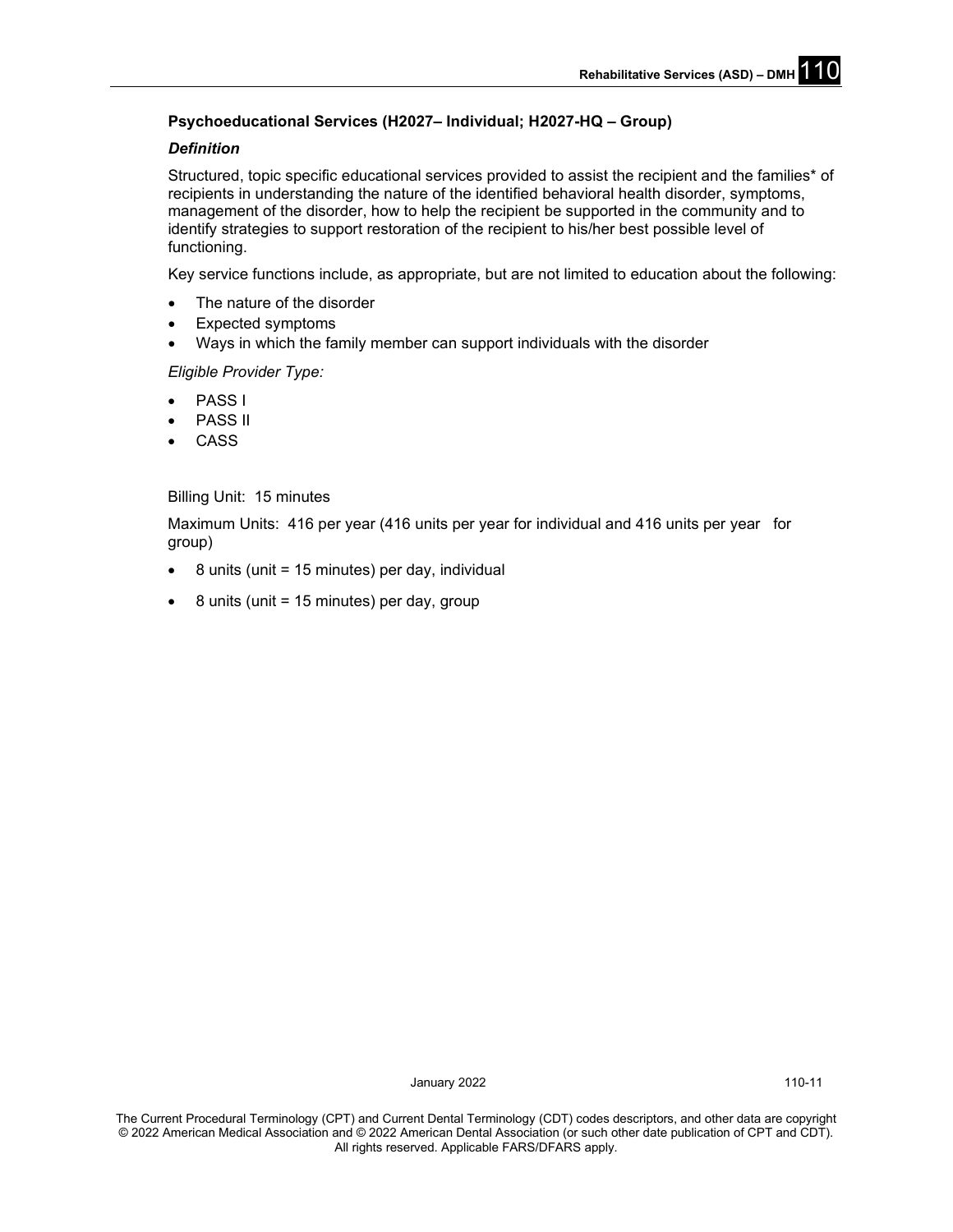## **Psychoeducational Services (H2027– Individual; H2027-HQ – Group)**

#### *Definition*

Structured, topic specific educational services provided to assist the recipient and the families\* of recipients in understanding the nature of the identified behavioral health disorder, symptoms, management of the disorder, how to help the recipient be supported in the community and to identify strategies to support restoration of the recipient to his/her best possible level of functioning.

Key service functions include, as appropriate, but are not limited to education about the following:

- The nature of the disorder
- Expected symptoms
- Ways in which the family member can support individuals with the disorder

*Eligible Provider Type:* 

- PASS I
- **PASS II**
- CASS

#### Billing Unit: 15 minutes

Maximum Units: 416 per year (416 units per year for individual and 416 units per year for group)

- $\bullet$  8 units (unit = 15 minutes) per day, individual
- $\bullet$  8 units (unit = 15 minutes) per day, group

January 2022 110-11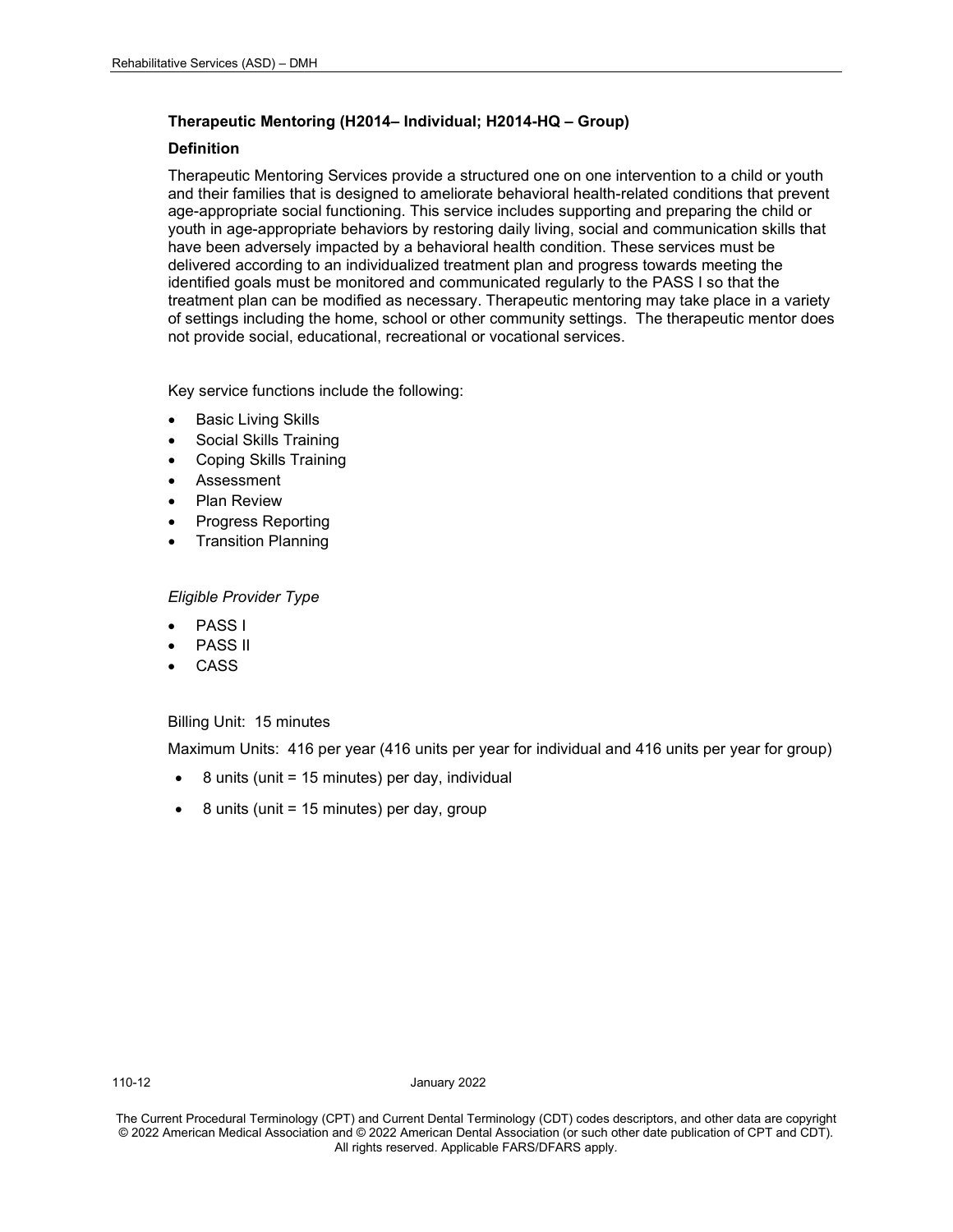#### **Therapeutic Mentoring (H2014– Individual; H2014-HQ – Group)**

#### **Definition**

Therapeutic Mentoring Services provide a structured one on one intervention to a child or youth and their families that is designed to ameliorate behavioral health-related conditions that prevent age-appropriate social functioning. This service includes supporting and preparing the child or youth in age-appropriate behaviors by restoring daily living, social and communication skills that have been adversely impacted by a behavioral health condition. These services must be delivered according to an individualized treatment plan and progress towards meeting the identified goals must be monitored and communicated regularly to the PASS I so that the treatment plan can be modified as necessary. Therapeutic mentoring may take place in a variety of settings including the home, school or other community settings. The therapeutic mentor does not provide social, educational, recreational or vocational services.

Key service functions include the following:

- **Basic Living Skills**
- Social Skills Training
- Coping Skills Training
- **Assessment**
- Plan Review
- Progress Reporting
- Transition Planning

#### *Eligible Provider Type*

- PASS I
- PASS II
- **CASS**

#### Billing Unit: 15 minutes

Maximum Units: 416 per year (416 units per year for individual and 416 units per year for group)

- 8 units (unit = 15 minutes) per day, individual
- 8 units (unit = 15 minutes) per day, group

110-12 January 2022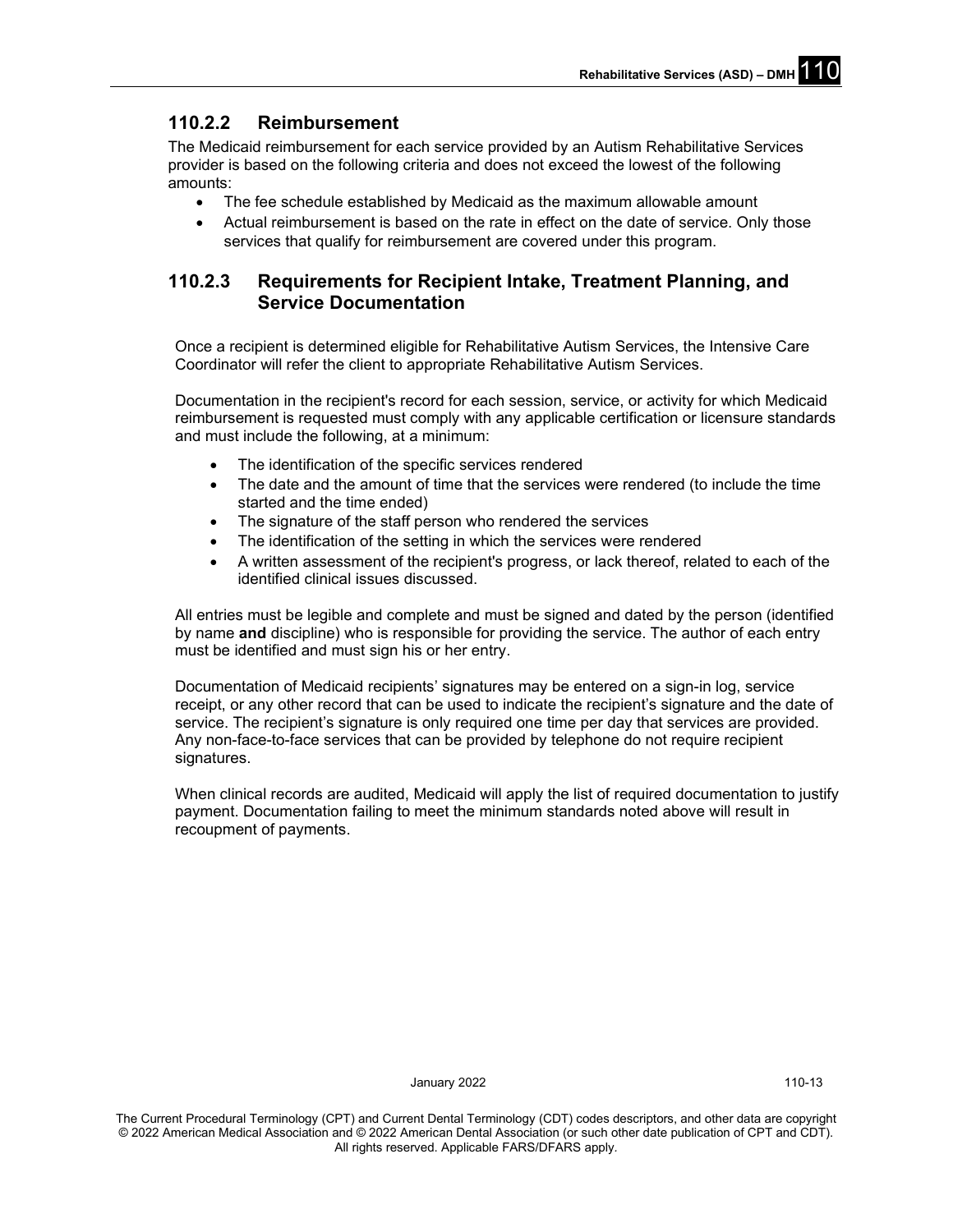## **110.2.2 Reimbursement**

The Medicaid reimbursement for each service provided by an Autism Rehabilitative Services provider is based on the following criteria and does not exceed the lowest of the following amounts:

- The fee schedule established by Medicaid as the maximum allowable amount
- Actual reimbursement is based on the rate in effect on the date of service. Only those services that qualify for reimbursement are covered under this program.

## **110.2.3 Requirements for Recipient Intake, Treatment Planning, and Service Documentation**

Once a recipient is determined eligible for Rehabilitative Autism Services, the Intensive Care Coordinator will refer the client to appropriate Rehabilitative Autism Services.

Documentation in the recipient's record for each session, service, or activity for which Medicaid reimbursement is requested must comply with any applicable certification or licensure standards and must include the following, at a minimum:

- The identification of the specific services rendered
- The date and the amount of time that the services were rendered (to include the time started and the time ended)
- The signature of the staff person who rendered the services
- The identification of the setting in which the services were rendered
- A written assessment of the recipient's progress, or lack thereof, related to each of the identified clinical issues discussed.

All entries must be legible and complete and must be signed and dated by the person (identified by name **and** discipline) who is responsible for providing the service. The author of each entry must be identified and must sign his or her entry.

Documentation of Medicaid recipients' signatures may be entered on a sign-in log, service receipt, or any other record that can be used to indicate the recipient's signature and the date of service. The recipient's signature is only required one time per day that services are provided. Any non-face-to-face services that can be provided by telephone do not require recipient signatures.

When clinical records are audited, Medicaid will apply the list of required documentation to justify payment. Documentation failing to meet the minimum standards noted above will result in recoupment of payments.

January 2022 110-13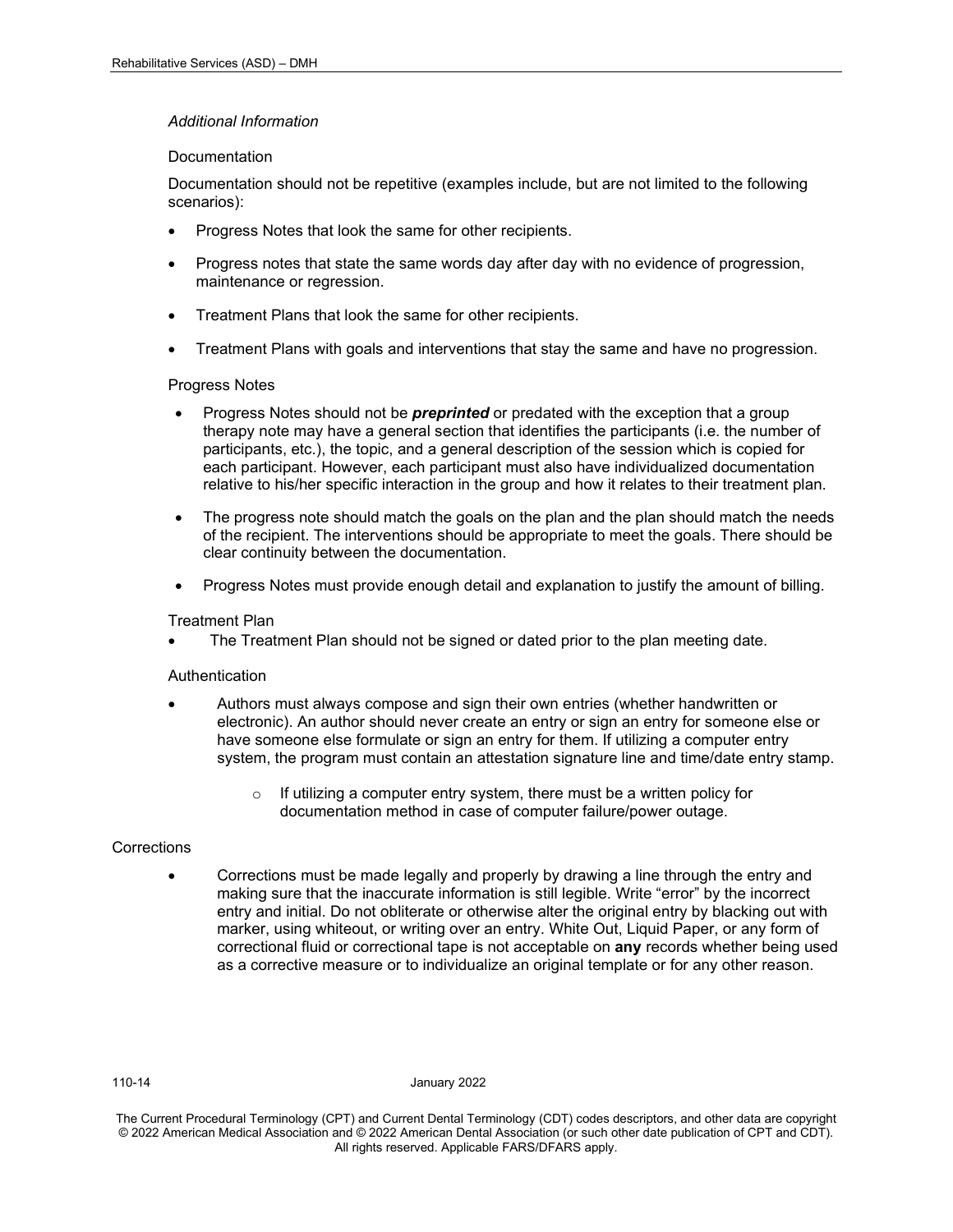#### *Additional Information*

#### **Documentation**

Documentation should not be repetitive (examples include, but are not limited to the following scenarios):

- Progress Notes that look the same for other recipients.
- Progress notes that state the same words day after day with no evidence of progression, maintenance or regression.
- Treatment Plans that look the same for other recipients.
- Treatment Plans with goals and interventions that stay the same and have no progression.

#### Progress Notes

- Progress Notes should not be *preprinted* or predated with the exception that a group therapy note may have a general section that identifies the participants (i.e. the number of participants, etc.), the topic, and a general description of the session which is copied for each participant. However, each participant must also have individualized documentation relative to his/her specific interaction in the group and how it relates to their treatment plan.
- The progress note should match the goals on the plan and the plan should match the needs of the recipient. The interventions should be appropriate to meet the goals. There should be clear continuity between the documentation.
- Progress Notes must provide enough detail and explanation to justify the amount of billing.

#### Treatment Plan

• The Treatment Plan should not be signed or dated prior to the plan meeting date.

#### **Authentication**

- Authors must always compose and sign their own entries (whether handwritten or electronic). An author should never create an entry or sign an entry for someone else or have someone else formulate or sign an entry for them. If utilizing a computer entry system, the program must contain an attestation signature line and time/date entry stamp.
	- o If utilizing a computer entry system, there must be a written policy for documentation method in case of computer failure/power outage.

#### **Corrections**

• Corrections must be made legally and properly by drawing a line through the entry and making sure that the inaccurate information is still legible. Write "error" by the incorrect entry and initial. Do not obliterate or otherwise alter the original entry by blacking out with marker, using whiteout, or writing over an entry. White Out, Liquid Paper, or any form of correctional fluid or correctional tape is not acceptable on **any** records whether being used as a corrective measure or to individualize an original template or for any other reason.

110-14 January 2022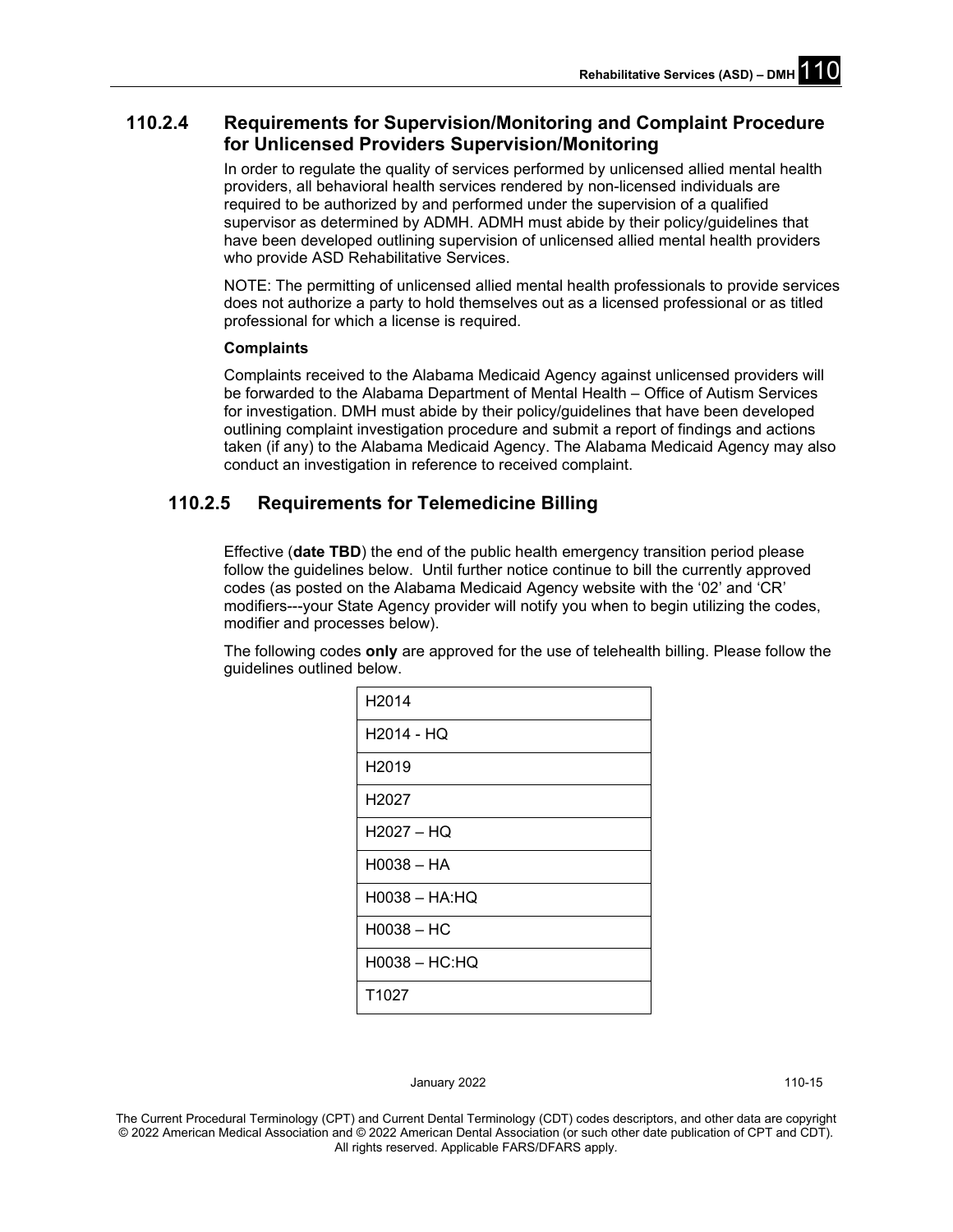## **110.2.4 Requirements for Supervision/Monitoring and Complaint Procedure for Unlicensed Providers Supervision/Monitoring**

In order to regulate the quality of services performed by unlicensed allied mental health providers, all behavioral health services rendered by non-licensed individuals are required to be authorized by and performed under the supervision of a qualified supervisor as determined by ADMH. ADMH must abide by their policy/guidelines that have been developed outlining supervision of unlicensed allied mental health providers who provide ASD Rehabilitative Services.

NOTE: The permitting of unlicensed allied mental health professionals to provide services does not authorize a party to hold themselves out as a licensed professional or as titled professional for which a license is required.

#### **Complaints**

Complaints received to the Alabama Medicaid Agency against unlicensed providers will be forwarded to the Alabama Department of Mental Health – Office of Autism Services for investigation. DMH must abide by their policy/guidelines that have been developed outlining complaint investigation procedure and submit a report of findings and actions taken (if any) to the Alabama Medicaid Agency. The Alabama Medicaid Agency may also conduct an investigation in reference to received complaint.

## **110.2.5 Requirements for Telemedicine Billing**

Effective (**date TBD**) the end of the public health emergency transition period please follow the guidelines below. Until further notice continue to bill the currently approved codes (as posted on the Alabama Medicaid Agency website with the '02' and 'CR' modifiers---your State Agency provider will notify you when to begin utilizing the codes, modifier and processes below).

The following codes **only** are approved for the use of telehealth billing. Please follow the guidelines outlined below.

| H2014             |
|-------------------|
| H2014 - HQ        |
| H2019             |
| H2027             |
| $H2027 - HQ$      |
| $H0038 - HA$      |
| $H0038 - HA:HO$   |
| $H0038 - HC$      |
| H0038 - HC:HQ     |
| T <sub>1027</sub> |

January 2022 110-15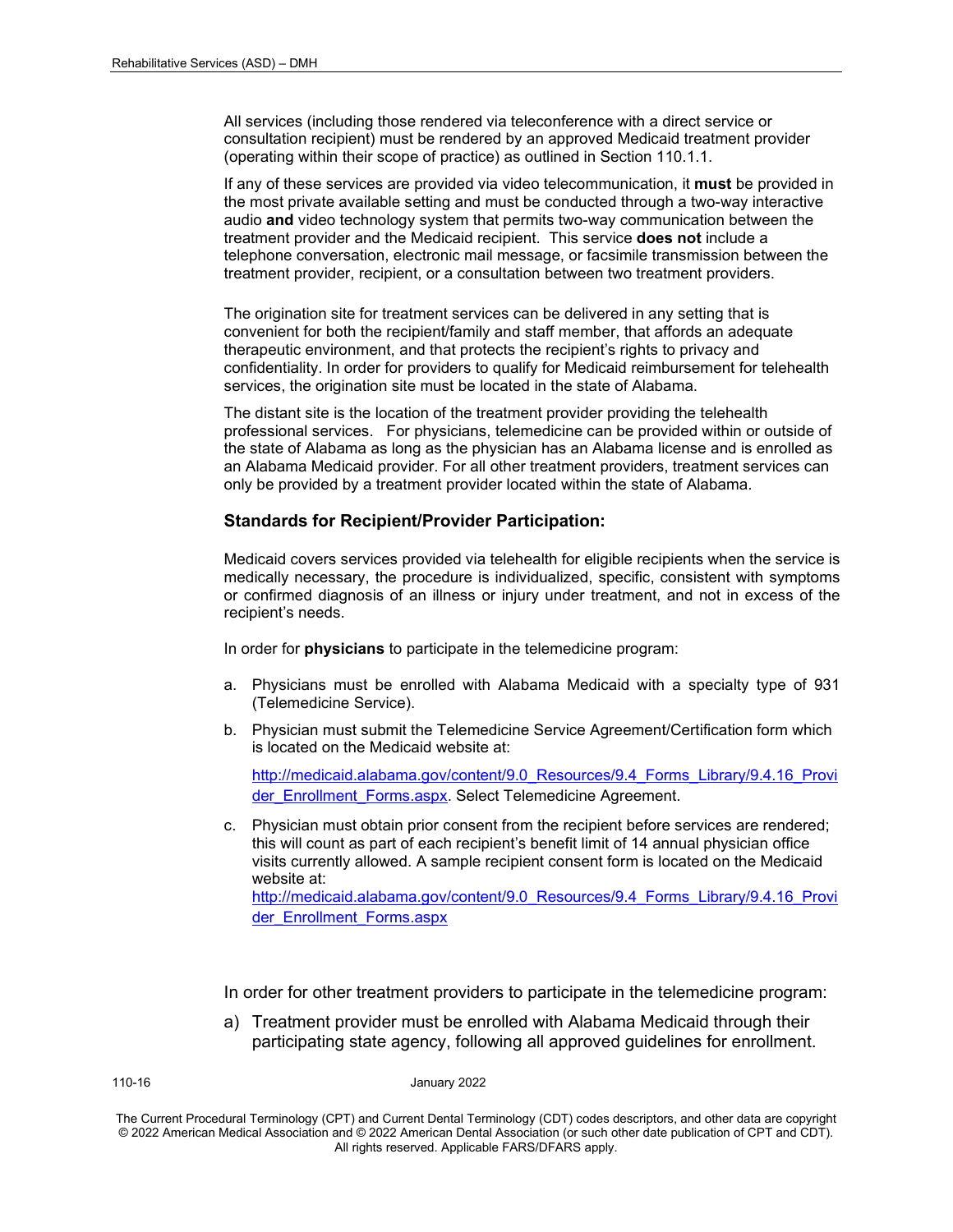All services (including those rendered via teleconference with a direct service or consultation recipient) must be rendered by an approved Medicaid treatment provider (operating within their scope of practice) as outlined in Section 110.1.1.

If any of these services are provided via video telecommunication, it **must** be provided in the most private available setting and must be conducted through a two-way interactive audio **and** video technology system that permits two-way communication between the treatment provider and the Medicaid recipient. This service **does not** include a telephone conversation, electronic mail message, or facsimile transmission between the treatment provider, recipient, or a consultation between two treatment providers.

The origination site for treatment services can be delivered in any setting that is convenient for both the recipient/family and staff member, that affords an adequate therapeutic environment, and that protects the recipient's rights to privacy and confidentiality. In order for providers to qualify for Medicaid reimbursement for telehealth services, the origination site must be located in the state of Alabama.

The distant site is the location of the treatment provider providing the telehealth professional services. For physicians, telemedicine can be provided within or outside of the state of Alabama as long as the physician has an Alabama license and is enrolled as an Alabama Medicaid provider. For all other treatment providers, treatment services can only be provided by a treatment provider located within the state of Alabama.

#### **Standards for Recipient/Provider Participation:**

Medicaid covers services provided via telehealth for eligible recipients when the service is medically necessary, the procedure is individualized, specific, consistent with symptoms or confirmed diagnosis of an illness or injury under treatment, and not in excess of the recipient's needs.

In order for **physicians** to participate in the telemedicine program:

- a. Physicians must be enrolled with Alabama Medicaid with a specialty type of 931 (Telemedicine Service).
- b. Physician must submit the Telemedicine Service Agreement/Certification form which is located on the Medicaid website at:

[http://medicaid.alabama.gov/content/9.0\\_Resources/9.4\\_Forms\\_Library/9.4.16\\_Provi](http://medicaid.alabama.gov/content/9.0_Resources/9.4_Forms_Library/9.4.16_Provider_Enrollment_Forms.aspx) der Enrollment Forms.aspx. Select Telemedicine Agreement.

c. Physician must obtain prior consent from the recipient before services are rendered; this will count as part of each recipient's benefit limit of 14 annual physician office visits currently allowed. A sample recipient consent form is located on the Medicaid website at: [http://medicaid.alabama.gov/content/9.0\\_Resources/9.4\\_Forms\\_Library/9.4.16\\_Provi](http://medicaid.alabama.gov/content/9.0_Resources/9.4_Forms_Library/9.4.16_Provider_Enrollment_Forms.aspx) [der\\_Enrollment\\_Forms.aspx](http://medicaid.alabama.gov/content/9.0_Resources/9.4_Forms_Library/9.4.16_Provider_Enrollment_Forms.aspx)

In order for other treatment providers to participate in the telemedicine program:

a) Treatment provider must be enrolled with Alabama Medicaid through their participating state agency, following all approved guidelines for enrollment.

110-16 January 2022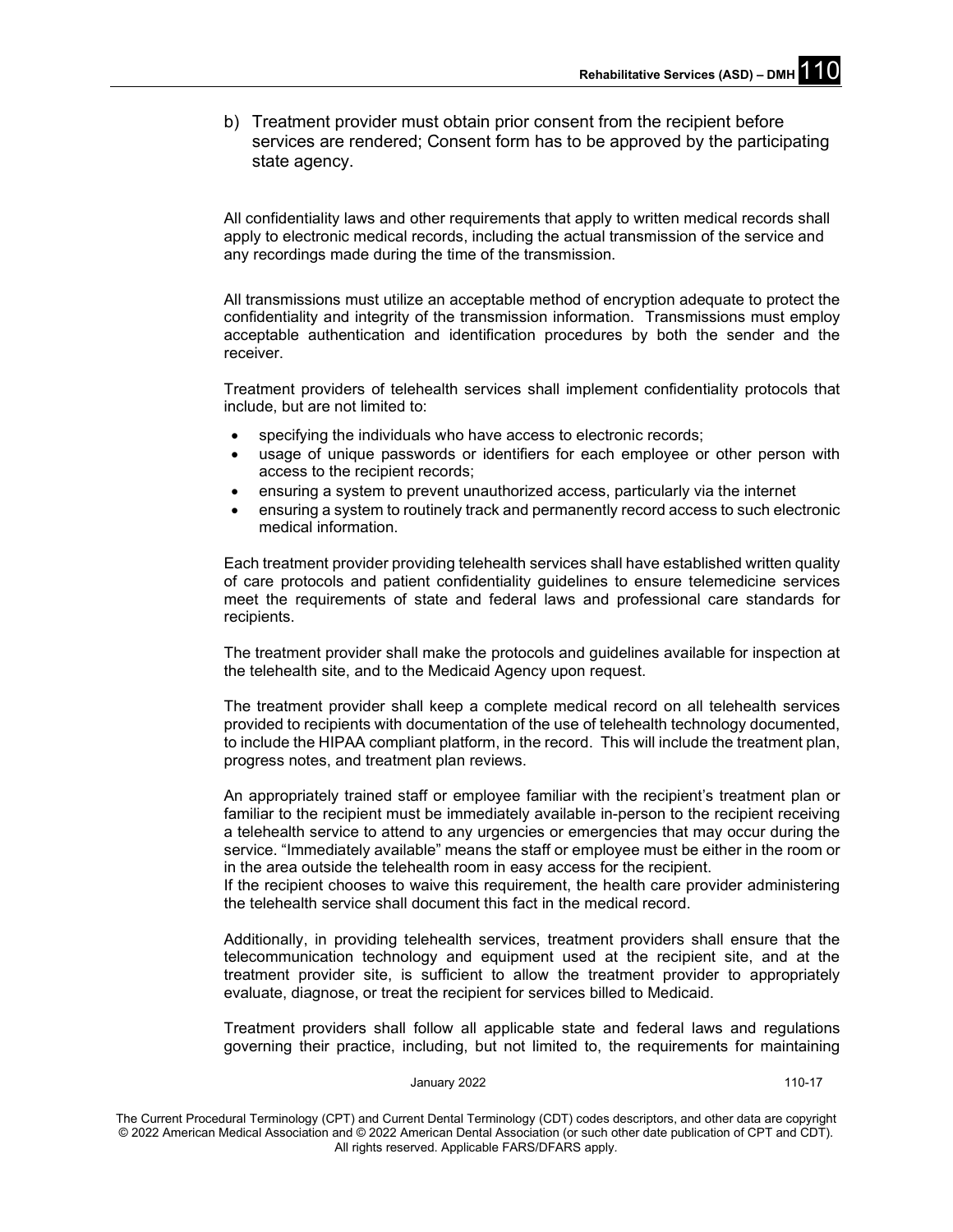b) Treatment provider must obtain prior consent from the recipient before services are rendered; Consent form has to be approved by the participating state agency.

All confidentiality laws and other requirements that apply to written medical records shall apply to electronic medical records, including the actual transmission of the service and any recordings made during the time of the transmission.

All transmissions must utilize an acceptable method of encryption adequate to protect the confidentiality and integrity of the transmission information. Transmissions must employ acceptable authentication and identification procedures by both the sender and the receiver.

Treatment providers of telehealth services shall implement confidentiality protocols that include, but are not limited to:

- specifying the individuals who have access to electronic records;
- usage of unique passwords or identifiers for each employee or other person with access to the recipient records;
- ensuring a system to prevent unauthorized access, particularly via the internet
- ensuring a system to routinely track and permanently record access to such electronic medical information.

Each treatment provider providing telehealth services shall have established written quality of care protocols and patient confidentiality guidelines to ensure telemedicine services meet the requirements of state and federal laws and professional care standards for recipients.

The treatment provider shall make the protocols and guidelines available for inspection at the telehealth site, and to the Medicaid Agency upon request.

The treatment provider shall keep a complete medical record on all telehealth services provided to recipients with documentation of the use of telehealth technology documented, to include the HIPAA compliant platform, in the record. This will include the treatment plan, progress notes, and treatment plan reviews.

An appropriately trained staff or employee familiar with the recipient's treatment plan or familiar to the recipient must be immediately available in-person to the recipient receiving a telehealth service to attend to any urgencies or emergencies that may occur during the service. "Immediately available" means the staff or employee must be either in the room or in the area outside the telehealth room in easy access for the recipient.

If the recipient chooses to waive this requirement, the health care provider administering the telehealth service shall document this fact in the medical record.

Additionally, in providing telehealth services, treatment providers shall ensure that the telecommunication technology and equipment used at the recipient site, and at the treatment provider site, is sufficient to allow the treatment provider to appropriately evaluate, diagnose, or treat the recipient for services billed to Medicaid.

Treatment providers shall follow all applicable state and federal laws and regulations governing their practice, including, but not limited to, the requirements for maintaining

#### January 2022 110-17

The Current Procedural Terminology (CPT) and Current Dental Terminology (CDT) codes descriptors, and other data are copyright © 2022 American Medical Association and © 2022 American Dental Association (or such other date publication of CPT and CDT). All rights reserved. Applicable FARS/DFARS apply*.*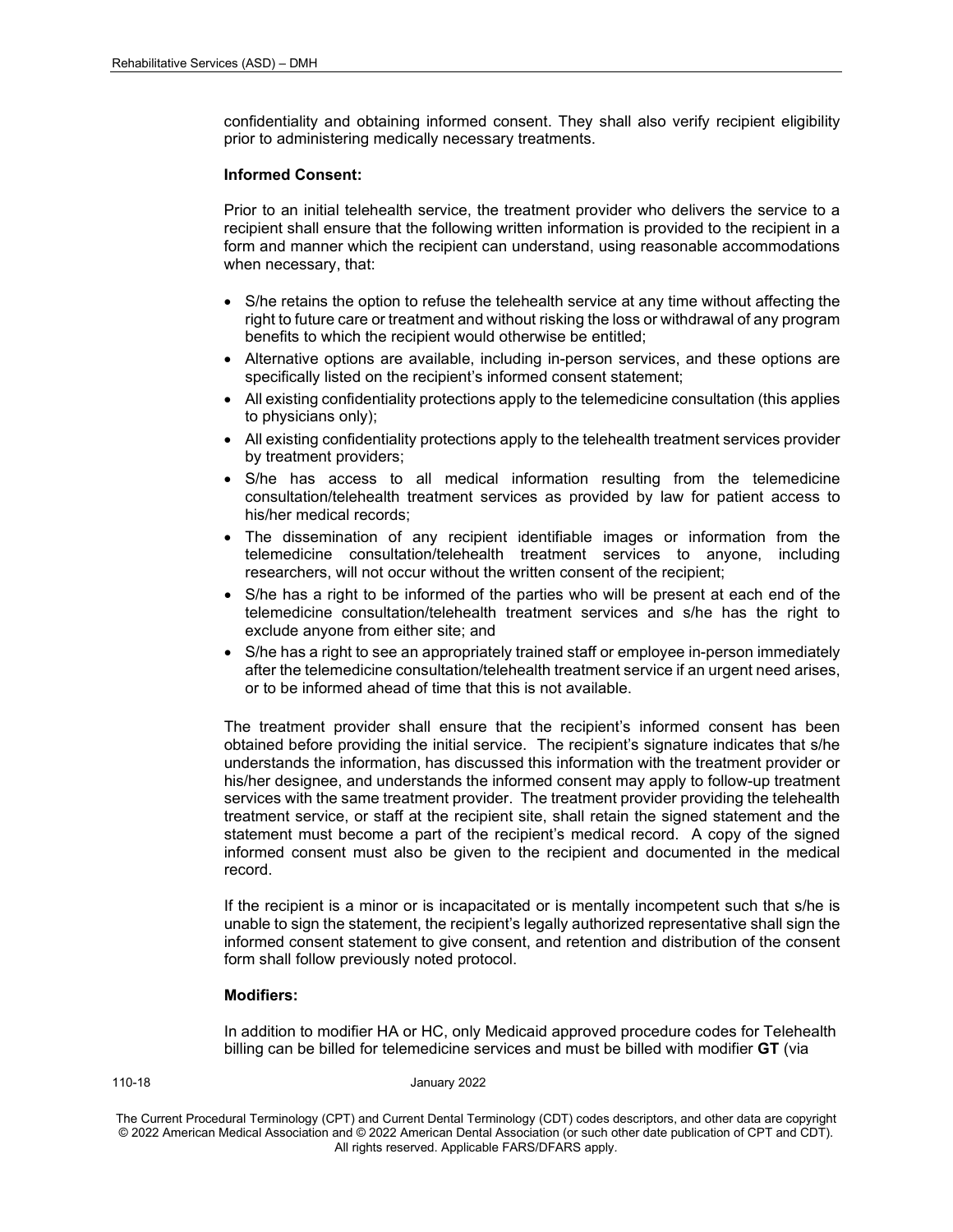confidentiality and obtaining informed consent. They shall also verify recipient eligibility prior to administering medically necessary treatments.

#### **Informed Consent:**

Prior to an initial telehealth service, the treatment provider who delivers the service to a recipient shall ensure that the following written information is provided to the recipient in a form and manner which the recipient can understand, using reasonable accommodations when necessary, that:

- S/he retains the option to refuse the telehealth service at any time without affecting the right to future care or treatment and without risking the loss or withdrawal of any program benefits to which the recipient would otherwise be entitled;
- Alternative options are available, including in-person services, and these options are specifically listed on the recipient's informed consent statement;
- All existing confidentiality protections apply to the telemedicine consultation (this applies to physicians only);
- All existing confidentiality protections apply to the telehealth treatment services provider by treatment providers;
- S/he has access to all medical information resulting from the telemedicine consultation/telehealth treatment services as provided by law for patient access to his/her medical records;
- The dissemination of any recipient identifiable images or information from the telemedicine consultation/telehealth treatment services to anyone, including researchers, will not occur without the written consent of the recipient;
- S/he has a right to be informed of the parties who will be present at each end of the telemedicine consultation/telehealth treatment services and s/he has the right to exclude anyone from either site; and
- S/he has a right to see an appropriately trained staff or employee in-person immediately after the telemedicine consultation/telehealth treatment service if an urgent need arises, or to be informed ahead of time that this is not available.

The treatment provider shall ensure that the recipient's informed consent has been obtained before providing the initial service. The recipient's signature indicates that s/he understands the information, has discussed this information with the treatment provider or his/her designee, and understands the informed consent may apply to follow-up treatment services with the same treatment provider. The treatment provider providing the telehealth treatment service, or staff at the recipient site, shall retain the signed statement and the statement must become a part of the recipient's medical record. A copy of the signed informed consent must also be given to the recipient and documented in the medical record.

If the recipient is a minor or is incapacitated or is mentally incompetent such that s/he is unable to sign the statement, the recipient's legally authorized representative shall sign the informed consent statement to give consent, and retention and distribution of the consent form shall follow previously noted protocol.

#### **Modifiers:**

In addition to modifier HA or HC, only Medicaid approved procedure codes for Telehealth billing can be billed for telemedicine services and must be billed with modifier **GT** (via

110-18 January 2022

The Current Procedural Terminology (CPT) and Current Dental Terminology (CDT) codes descriptors, and other data are copyright © 2022 American Medical Association and © 2022 American Dental Association (or such other date publication of CPT and CDT). All rights reserved. Applicable FARS/DFARS apply*.*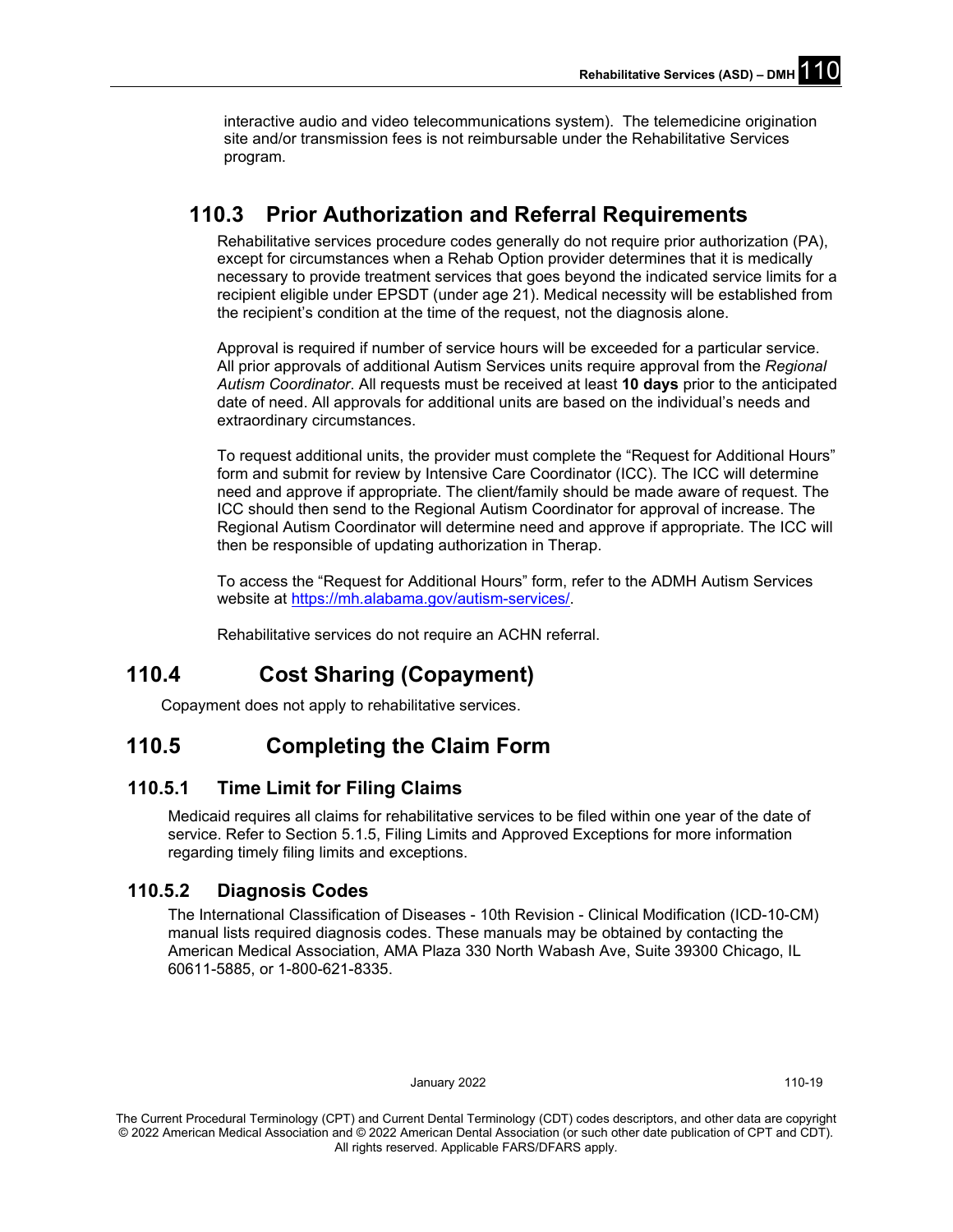interactive audio and video telecommunications system). The telemedicine origination site and/or transmission fees is not reimbursable under the Rehabilitative Services program.

## **110.3 Prior Authorization and Referral Requirements**

Rehabilitative services procedure codes generally do not require prior authorization (PA), except for circumstances when a Rehab Option provider determines that it is medically necessary to provide treatment services that goes beyond the indicated service limits for a recipient eligible under EPSDT (under age 21). Medical necessity will be established from the recipient's condition at the time of the request, not the diagnosis alone.

Approval is required if number of service hours will be exceeded for a particular service. All prior approvals of additional Autism Services units require approval from the *Regional Autism Coordinator*. All requests must be received at least **10 days** prior to the anticipated date of need. All approvals for additional units are based on the individual's needs and extraordinary circumstances.

To request additional units, the provider must complete the "Request for Additional Hours" form and submit for review by Intensive Care Coordinator (ICC). The ICC will determine need and approve if appropriate. The client/family should be made aware of request. The ICC should then send to the Regional Autism Coordinator for approval of increase. The Regional Autism Coordinator will determine need and approve if appropriate. The ICC will then be responsible of updating authorization in Therap.

To access the "Request for Additional Hours" form, refer to the ADMH Autism Services website at [https://mh.alabama.gov/autism-services/.](https://mh.alabama.gov/autism-services/) 

Rehabilitative services do not require an ACHN referral.

## **110.4 Cost Sharing (Copayment)**

Copayment does not apply to rehabilitative services.

## **110.5 Completing the Claim Form**

## **110.5.1 Time Limit for Filing Claims**

Medicaid requires all claims for rehabilitative services to be filed within one year of the date of service. Refer to Section 5.1.5, Filing Limits and Approved Exceptions for more information regarding timely filing limits and exceptions.

## **110.5.2 Diagnosis Codes**

The International Classification of Diseases - 10th Revision - Clinical Modification (ICD-10-CM) manual lists required diagnosis codes. These manuals may be obtained by contacting the American Medical Association, AMA Plaza 330 North Wabash Ave, Suite 39300 Chicago, IL 60611-5885, or 1-800-621-8335.

January 2022 110-19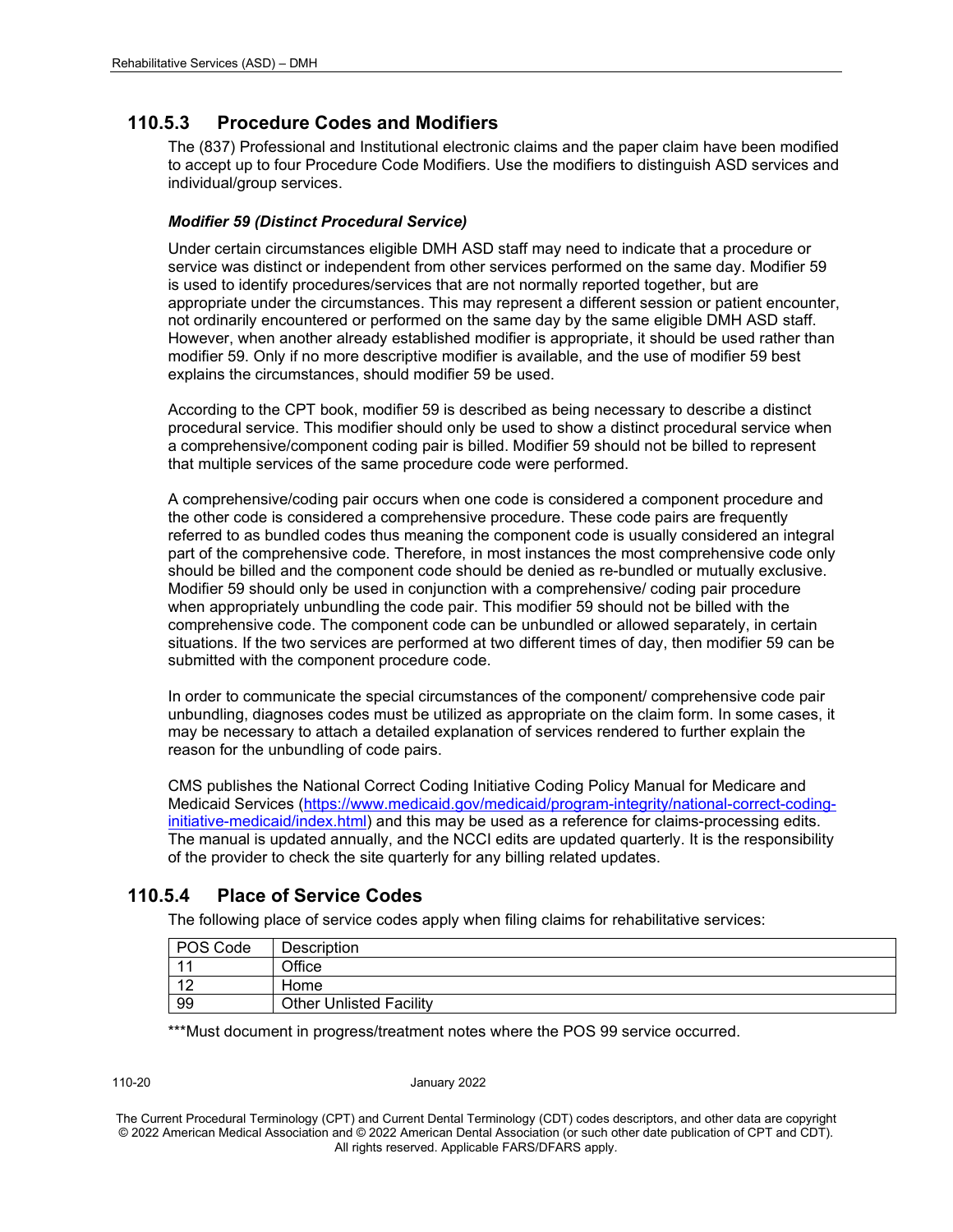## **110.5.3 Procedure Codes and Modifiers**

The (837) Professional and Institutional electronic claims and the paper claim have been modified to accept up to four Procedure Code Modifiers. Use the modifiers to distinguish ASD services and individual/group services.

#### *Modifier 59 (Distinct Procedural Service)*

Under certain circumstances eligible DMH ASD staff may need to indicate that a procedure or service was distinct or independent from other services performed on the same day. Modifier 59 is used to identify procedures/services that are not normally reported together, but are appropriate under the circumstances. This may represent a different session or patient encounter, not ordinarily encountered or performed on the same day by the same eligible DMH ASD staff. However, when another already established modifier is appropriate, it should be used rather than modifier 59. Only if no more descriptive modifier is available, and the use of modifier 59 best explains the circumstances, should modifier 59 be used.

According to the CPT book, modifier 59 is described as being necessary to describe a distinct procedural service. This modifier should only be used to show a distinct procedural service when a comprehensive/component coding pair is billed. Modifier 59 should not be billed to represent that multiple services of the same procedure code were performed.

A comprehensive/coding pair occurs when one code is considered a component procedure and the other code is considered a comprehensive procedure. These code pairs are frequently referred to as bundled codes thus meaning the component code is usually considered an integral part of the comprehensive code. Therefore, in most instances the most comprehensive code only should be billed and the component code should be denied as re-bundled or mutually exclusive. Modifier 59 should only be used in conjunction with a comprehensive/ coding pair procedure when appropriately unbundling the code pair. This modifier 59 should not be billed with the comprehensive code. The component code can be unbundled or allowed separately, in certain situations. If the two services are performed at two different times of day, then modifier 59 can be submitted with the component procedure code.

In order to communicate the special circumstances of the component/ comprehensive code pair unbundling, diagnoses codes must be utilized as appropriate on the claim form. In some cases, it may be necessary to attach a detailed explanation of services rendered to further explain the reason for the unbundling of code pairs.

CMS publishes the National Correct Coding Initiative Coding Policy Manual for Medicare and Medicaid Services [\(https://www.medicaid.gov/medicaid/program-integrity/national-correct-coding](https://www.medicaid.gov/medicaid/program-integrity/national-correct-coding-initiative-medicaid/index.html)[initiative-medicaid/index.html\)](https://www.medicaid.gov/medicaid/program-integrity/national-correct-coding-initiative-medicaid/index.html) and this may be used as a reference for claims-processing edits. The manual is updated annually, and the NCCI edits are updated quarterly. It is the responsibility of the provider to check the site quarterly for any billing related updates.

## **110.5.4 Place of Service Codes**

The following place of service codes apply when filing claims for rehabilitative services:

| POS Code       | Description                    |
|----------------|--------------------------------|
| $\overline{A}$ | Office                         |
| $\sqrt{2}$     | Home                           |
| 99             | <b>Other Unlisted Facility</b> |

\*\*\*Must document in progress/treatment notes where the POS 99 service occurred.

110-20 January 2022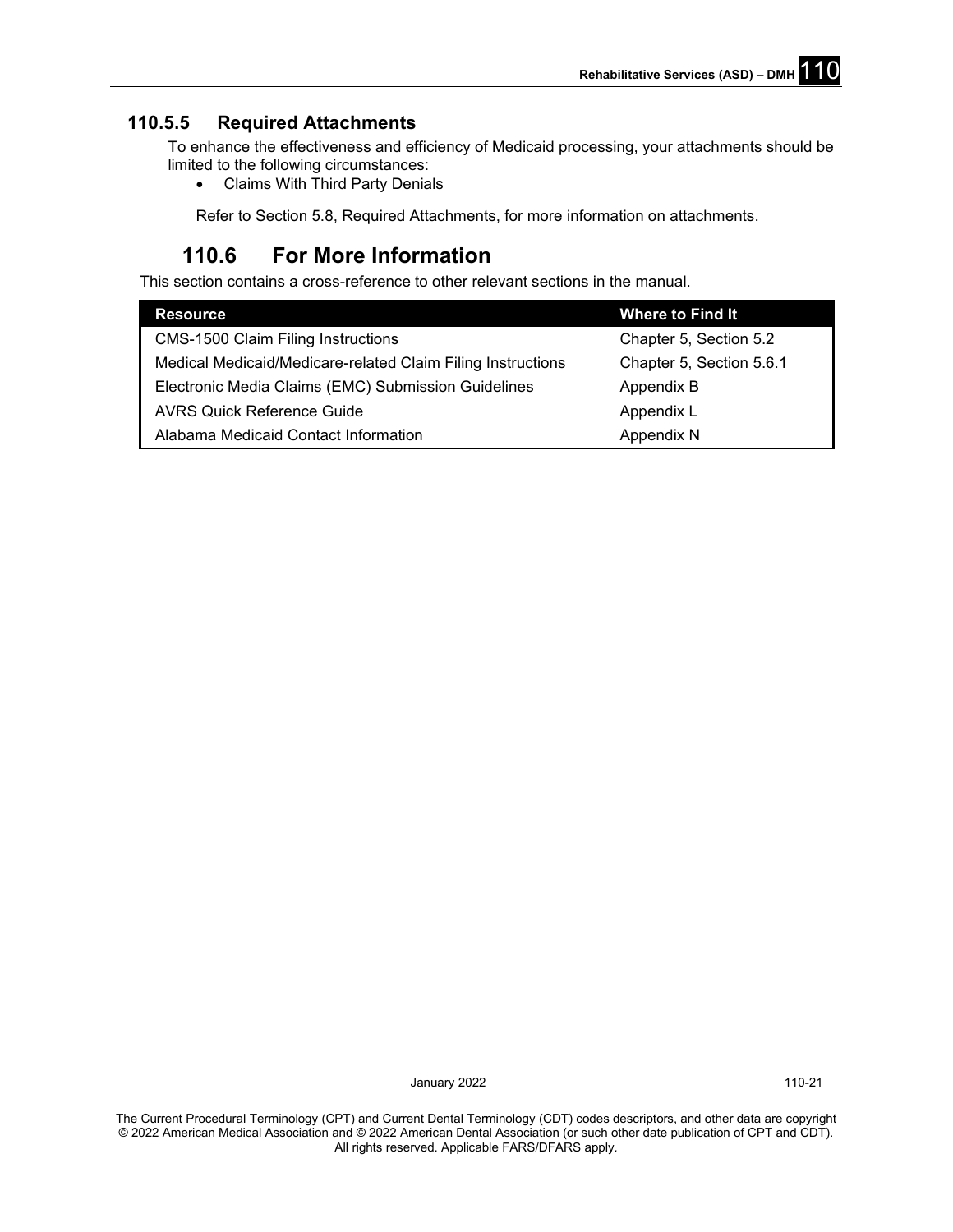## **110.5.5 Required Attachments**

To enhance the effectiveness and efficiency of Medicaid processing, your attachments should be limited to the following circumstances:

• Claims With Third Party Denials

Refer to Section 5.8, Required Attachments, for more information on attachments.

## **110.6 For More Information**

This section contains a cross-reference to other relevant sections in the manual.

| <b>Resource</b>                                             | Where to Find It         |
|-------------------------------------------------------------|--------------------------|
| <b>CMS-1500 Claim Filing Instructions</b>                   | Chapter 5, Section 5.2   |
| Medical Medicaid/Medicare-related Claim Filing Instructions | Chapter 5, Section 5.6.1 |
| Electronic Media Claims (EMC) Submission Guidelines         | Appendix B               |
| <b>AVRS Quick Reference Guide</b>                           | Appendix L               |
| Alabama Medicaid Contact Information                        | Appendix N               |

January 2022 **110-21**